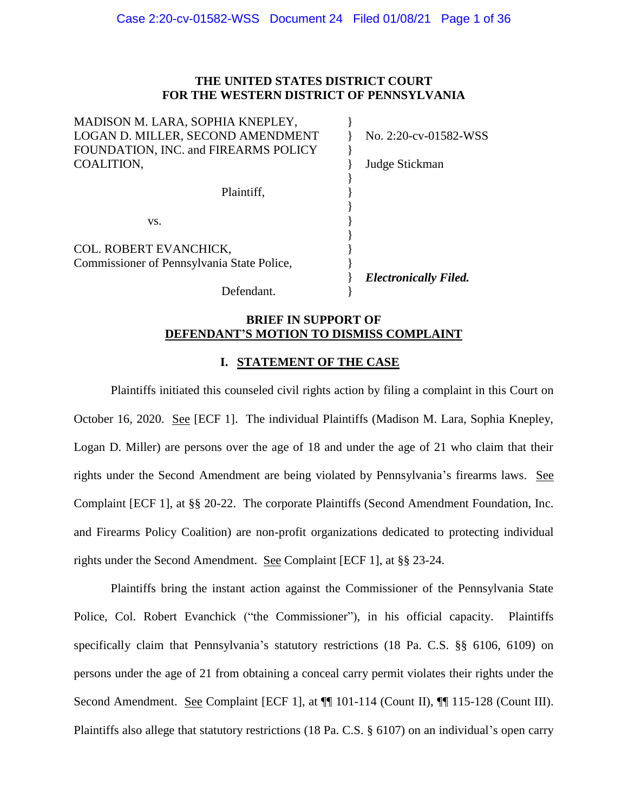## **THE UNITED STATES DISTRICT COURT FOR THE WESTERN DISTRICT OF PENNSYLVANIA**

| MADISON M. LARA, SOPHIA KNEPLEY,           |                              |
|--------------------------------------------|------------------------------|
| LOGAN D. MILLER, SECOND AMENDMENT          | No. 2:20-cv-01582-WSS        |
| FOUNDATION, INC. and FIREARMS POLICY       |                              |
| COALITION,                                 | Judge Stickman               |
|                                            |                              |
| Plaintiff,                                 |                              |
|                                            |                              |
| VS.                                        |                              |
|                                            |                              |
| COL. ROBERT EVANCHICK,                     |                              |
| Commissioner of Pennsylvania State Police, |                              |
|                                            | <b>Electronically Filed.</b> |
| Defendant.                                 |                              |

### **BRIEF IN SUPPORT OF DEFENDANT'S MOTION TO DISMISS COMPLAINT**

### **I. STATEMENT OF THE CASE**

Plaintiffs initiated this counseled civil rights action by filing a complaint in this Court on October 16, 2020. See [ECF 1]. The individual Plaintiffs (Madison M. Lara, Sophia Knepley, Logan D. Miller) are persons over the age of 18 and under the age of 21 who claim that their rights under the Second Amendment are being violated by Pennsylvania's firearms laws. See Complaint [ECF 1], at §§ 20-22. The corporate Plaintiffs (Second Amendment Foundation, Inc. and Firearms Policy Coalition) are non-profit organizations dedicated to protecting individual rights under the Second Amendment. See Complaint [ECF 1], at §§ 23-24.

Plaintiffs bring the instant action against the Commissioner of the Pennsylvania State Police, Col. Robert Evanchick ("the Commissioner"), in his official capacity. Plaintiffs specifically claim that Pennsylvania's statutory restrictions (18 Pa. C.S. §§ 6106, 6109) on persons under the age of 21 from obtaining a conceal carry permit violates their rights under the Second Amendment. See Complaint [ECF 1], at  $\P$ [ 101-114 (Count II),  $\P$ [ 115-128 (Count III). Plaintiffs also allege that statutory restrictions (18 Pa. C.S. § 6107) on an individual's open carry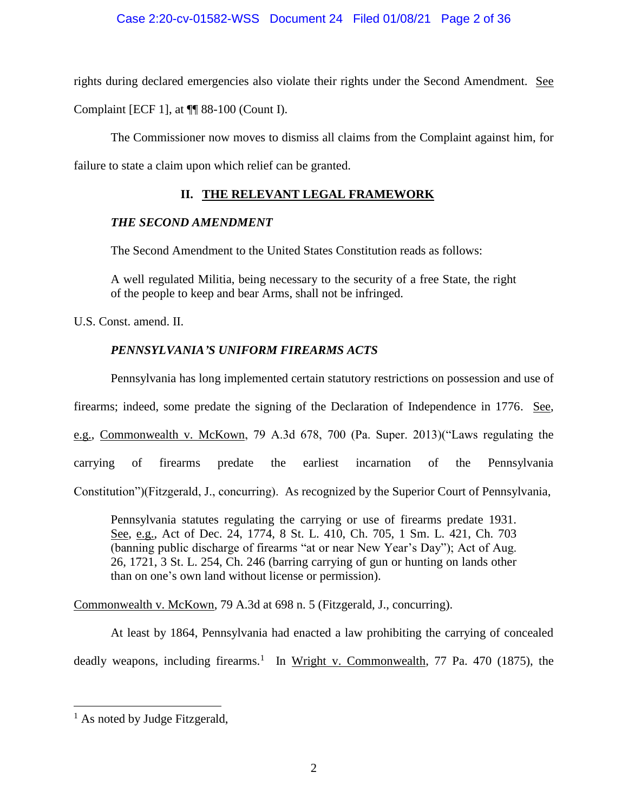## Case 2:20-cv-01582-WSS Document 24 Filed 01/08/21 Page 2 of 36

rights during declared emergencies also violate their rights under the Second Amendment. See Complaint [ECF 1], at ¶¶ 88-100 (Count I).

The Commissioner now moves to dismiss all claims from the Complaint against him, for failure to state a claim upon which relief can be granted.

# **II. THE RELEVANT LEGAL FRAMEWORK**

## *THE SECOND AMENDMENT*

The Second Amendment to the United States Constitution reads as follows:

A well regulated Militia, being necessary to the security of a free State, the right of the people to keep and bear Arms, shall not be infringed.

U.S. Const. amend. II.

# *PENNSYLVANIA'S UNIFORM FIREARMS ACTS*

Pennsylvania has long implemented certain statutory restrictions on possession and use of firearms; indeed, some predate the signing of the Declaration of Independence in 1776. See, e.g., Commonwealth v. McKown, 79 A.3d 678, 700 (Pa. Super. 2013)("Laws regulating the carrying of firearms predate the earliest incarnation of the Pennsylvania Constitution")(Fitzgerald, J., concurring). As recognized by the Superior Court of Pennsylvania,

Pennsylvania statutes regulating the carrying or use of firearms predate 1931. See, e.g., Act of Dec. 24, 1774, 8 St. L. 410, Ch. 705, 1 Sm. L. 421, Ch. 703 (banning public discharge of firearms "at or near New Year's Day"); Act of Aug. 26, 1721, 3 St. L. 254, Ch. 246 (barring carrying of gun or hunting on lands other than on one's own land without license or permission).

Commonwealth v. McKown, 79 A.3d at 698 n. 5 (Fitzgerald, J., concurring).

At least by 1864, Pennsylvania had enacted a law prohibiting the carrying of concealed deadly weapons, including firearms.<sup>1</sup> In Wright v. Commonwealth, 77 Pa. 470 (1875), the

 $\overline{a}$ 

 $<sup>1</sup>$  As noted by Judge Fitzgerald,</sup>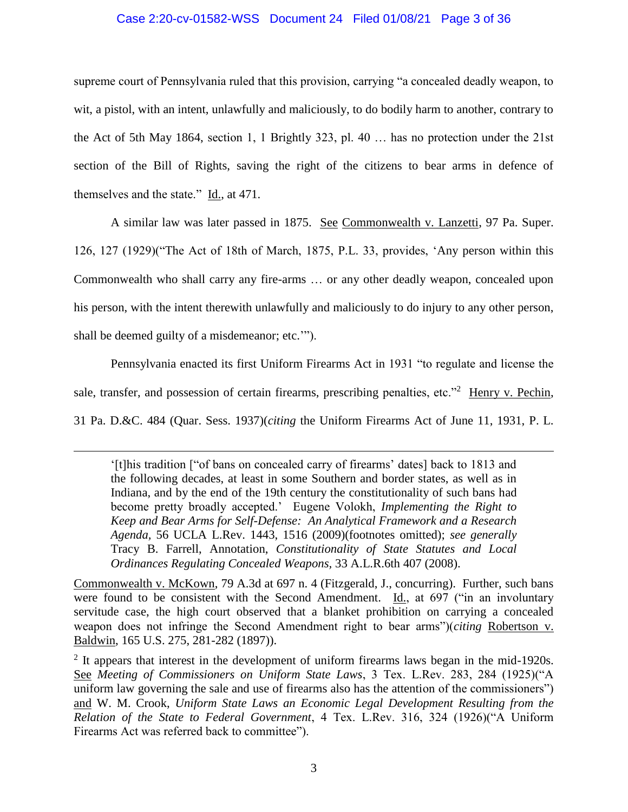#### Case 2:20-cv-01582-WSS Document 24 Filed 01/08/21 Page 3 of 36

supreme court of Pennsylvania ruled that this provision, carrying "a concealed deadly weapon, to wit, a pistol, with an intent, unlawfully and maliciously, to do bodily harm to another, contrary to the Act of 5th May 1864, section 1, 1 Brightly 323, pl. 40 … has no protection under the 21st section of the Bill of Rights, saving the right of the citizens to bear arms in defence of themselves and the state." Id., at 471.

A similar law was later passed in 1875. See Commonwealth v. Lanzetti, 97 Pa. Super. 126, 127 (1929)("The Act of 18th of March, 1875, P.L. 33, provides, 'Any person within this Commonwealth who shall carry any fire-arms … or any other deadly weapon, concealed upon his person, with the intent therewith unlawfully and maliciously to do injury to any other person, shall be deemed guilty of a misdemeanor; etc.'").

Pennsylvania enacted its first Uniform Firearms Act in 1931 "to regulate and license the sale, transfer, and possession of certain firearms, prescribing penalties, etc."<sup>2</sup> Henry v. Pechin, 31 Pa. D.&C. 484 (Quar. Sess. 1937)(*citing* the Uniform Firearms Act of June 11, 1931, P. L.

 $\overline{a}$ 

<sup>&#</sup>x27;[t]his tradition ["of bans on concealed carry of firearms' dates] back to 1813 and the following decades, at least in some Southern and border states, as well as in Indiana, and by the end of the 19th century the constitutionality of such bans had become pretty broadly accepted.' Eugene Volokh, *Implementing the Right to Keep and Bear Arms for Self-Defense: An Analytical Framework and a Research Agenda,* 56 UCLA L.Rev. 1443, 1516 (2009)(footnotes omitted); *see generally* Tracy B. Farrell, Annotation, *Constitutionality of State Statutes and Local Ordinances Regulating Concealed Weapons,* 33 A.L.R.6th 407 (2008).

Commonwealth v. McKown, 79 A.3d at 697 n. 4 (Fitzgerald, J., concurring). Further, such bans were found to be consistent with the Second Amendment. Id., at 697 ("in an involuntary servitude case, the high court observed that a blanket prohibition on carrying a concealed weapon does not infringe the Second Amendment right to bear arms")(*citing* Robertson v. Baldwin, 165 U.S. 275, 281-282 (1897)).

 $2$  It appears that interest in the development of uniform firearms laws began in the mid-1920s. See *Meeting of Commissioners on Uniform State Laws*, 3 Tex. L.Rev. 283, 284 (1925)("A uniform law governing the sale and use of firearms also has the attention of the commissioners") and W. M. Crook, *Uniform State Laws an Economic Legal Development Resulting from the Relation of the State to Federal Government*, 4 Tex. L.Rev. 316, 324 (1926)("A Uniform Firearms Act was referred back to committee").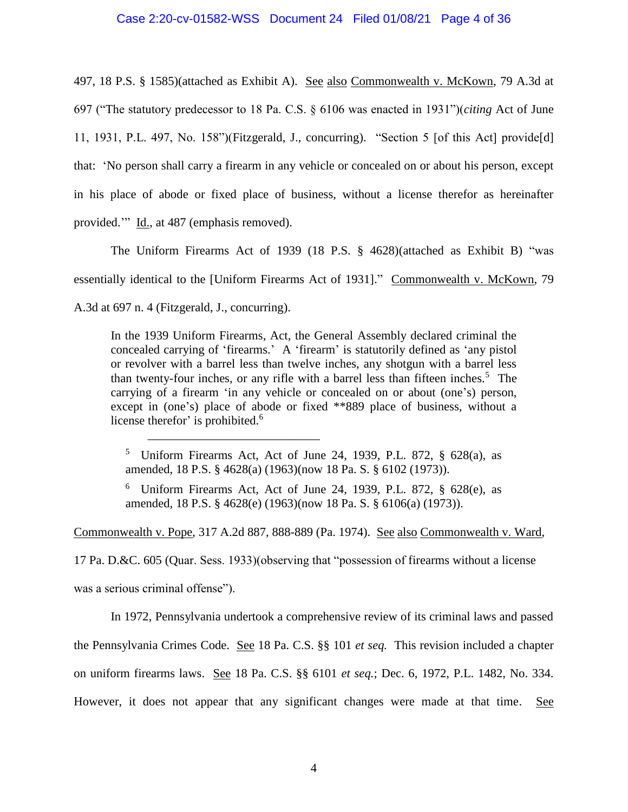#### Case 2:20-cv-01582-WSS Document 24 Filed 01/08/21 Page 4 of 36

497, 18 P.S. § 1585)(attached as Exhibit A). See also Commonwealth v. McKown, 79 A.3d at 697 ("The statutory predecessor to 18 Pa. C.S. § 6106 was enacted in 1931")(*citing* Act of June 11, 1931, P.L. 497, No. 158")(Fitzgerald, J., concurring). "Section 5 [of this Act] provide[d] that: 'No person shall carry a firearm in any vehicle or concealed on or about his person, except in his place of abode or fixed place of business, without a license therefor as hereinafter provided.'" Id., at 487 (emphasis removed).

The Uniform Firearms Act of 1939 (18 P.S. § 4628)(attached as Exhibit B) "was essentially identical to the [Uniform Firearms Act of 1931]." Commonwealth v. McKown, 79 A.3d at 697 n. 4 (Fitzgerald, J., concurring).

In the 1939 Uniform Firearms, Act, the General Assembly declared criminal the concealed carrying of 'firearms.' A 'firearm' is statutorily defined as 'any pistol or revolver with a barrel less than twelve inches, any shotgun with a barrel less than twenty-four inches, or any rifle with a barrel less than fifteen inches.<sup>5</sup> The carrying of a firearm 'in any vehicle or concealed on or about (one's) person, except in (one's) place of abode or fixed \*\*889 place of business, without a license therefor' is prohibited.<sup>6</sup>

5 Uniform Firearms Act, Act of June 24, 1939, P.L. 872, § 628(a), as amended, 18 P.S. § 4628(a) (1963)(now 18 Pa. S. § 6102 (1973)).

\_\_\_\_\_\_\_\_\_\_\_\_\_\_\_\_\_\_\_\_\_\_\_\_\_\_\_\_

6 Uniform Firearms Act, Act of June 24, 1939, P.L. 872, § 628(e), as amended, 18 P.S. § 4628(e) (1963)(now 18 Pa. S. § 6106(a) (1973)).

Commonwealth v. Pope, 317 A.2d 887, 888-889 (Pa. 1974). See also Commonwealth v. Ward,

17 Pa. D.&C. 605 (Quar. Sess. 1933)(observing that "possession of firearms without a license

was a serious criminal offense").

In 1972, Pennsylvania undertook a comprehensive review of its criminal laws and passed

the Pennsylvania Crimes Code. See 18 Pa. C.S. §§ 101 *et seq.* This revision included a chapter

on uniform firearms laws. See 18 Pa. C.S. §§ 6101 *et seq.*; Dec. 6, 1972, P.L. 1482, No. 334.

However, it does not appear that any significant changes were made at that time. See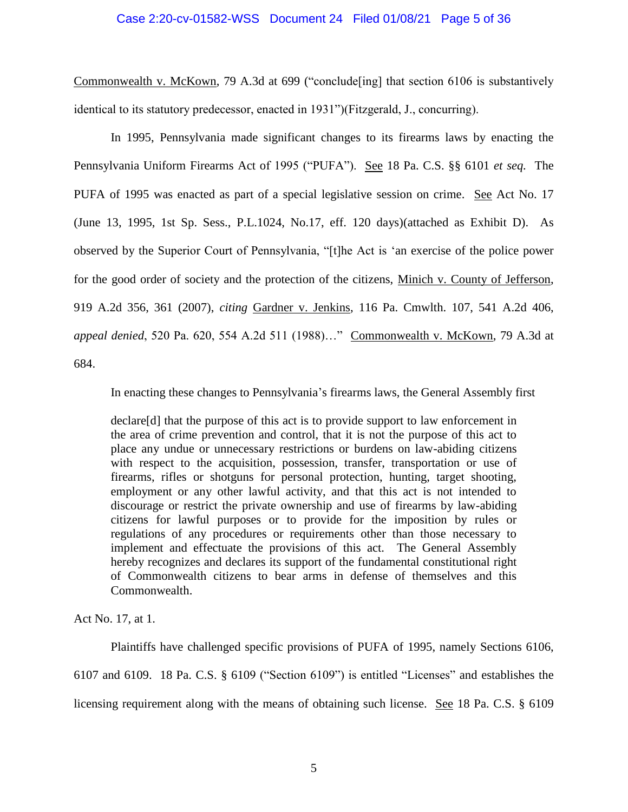#### Case 2:20-cv-01582-WSS Document 24 Filed 01/08/21 Page 5 of 36

Commonwealth v. McKown, 79 A.3d at 699 ("conclude[ing] that section 6106 is substantively identical to its statutory predecessor, enacted in 1931")(Fitzgerald, J., concurring).

In 1995, Pennsylvania made significant changes to its firearms laws by enacting the Pennsylvania Uniform Firearms Act of 1995 ("PUFA"). See 18 Pa. C.S. §§ 6101 *et seq.* The PUFA of 1995 was enacted as part of a special legislative session on crime. See Act No. 17 (June 13, 1995, 1st Sp. Sess., P.L.1024, No.17, eff. 120 days)(attached as Exhibit D). As observed by the Superior Court of Pennsylvania, "[t]he Act is 'an exercise of the police power for the good order of society and the protection of the citizens, Minich v. County of Jefferson, 919 A.2d 356, 361 (2007), *citing* Gardner v. Jenkins, 116 Pa. Cmwlth. 107, 541 A.2d 406, *appeal denied*, 520 Pa. 620, 554 A.2d 511 (1988)…" Commonwealth v. McKown, 79 A.3d at 684.

In enacting these changes to Pennsylvania's firearms laws, the General Assembly first

declare[d] that the purpose of this act is to provide support to law enforcement in the area of crime prevention and control, that it is not the purpose of this act to place any undue or unnecessary restrictions or burdens on law-abiding citizens with respect to the acquisition, possession, transfer, transportation or use of firearms, rifles or shotguns for personal protection, hunting, target shooting, employment or any other lawful activity, and that this act is not intended to discourage or restrict the private ownership and use of firearms by law-abiding citizens for lawful purposes or to provide for the imposition by rules or regulations of any procedures or requirements other than those necessary to implement and effectuate the provisions of this act. The General Assembly hereby recognizes and declares its support of the fundamental constitutional right of Commonwealth citizens to bear arms in defense of themselves and this Commonwealth.

Act No. 17, at 1.

Plaintiffs have challenged specific provisions of PUFA of 1995, namely Sections 6106, 6107 and 6109. 18 Pa. C.S. § 6109 ("Section 6109") is entitled "Licenses" and establishes the licensing requirement along with the means of obtaining such license. See 18 Pa. C.S. § 6109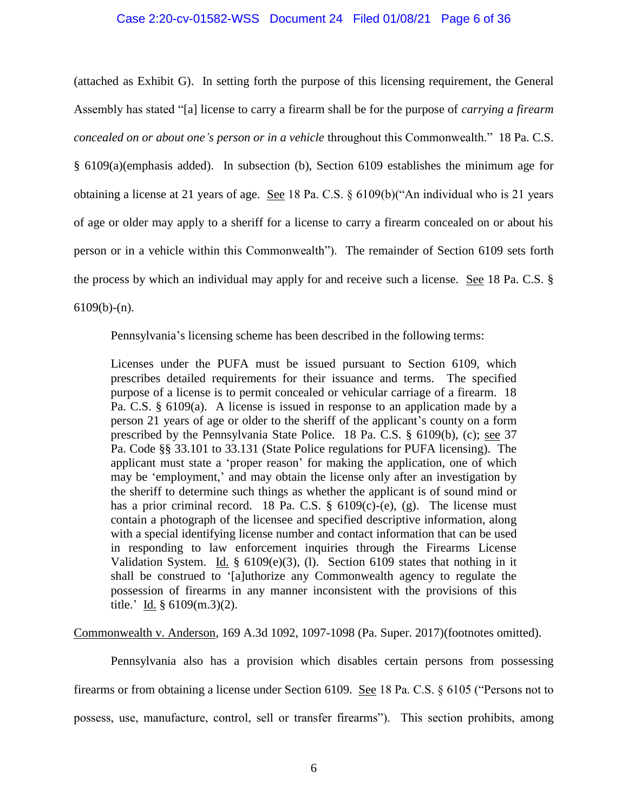#### Case 2:20-cv-01582-WSS Document 24 Filed 01/08/21 Page 6 of 36

(attached as Exhibit G). In setting forth the purpose of this licensing requirement, the General Assembly has stated "[a] license to carry a firearm shall be for the purpose of *carrying a firearm concealed on or about one's person or in a vehicle* throughout this Commonwealth." 18 Pa. C.S. § 6109(a)(emphasis added). In subsection (b), Section 6109 establishes the minimum age for obtaining a license at 21 years of age. See 18 Pa. C.S. § 6109(b)("An individual who is 21 years of age or older may apply to a sheriff for a license to carry a firearm concealed on or about his person or in a vehicle within this Commonwealth"). The remainder of Section 6109 sets forth the process by which an individual may apply for and receive such a license. See 18 Pa. C.S. §  $6109(b)-(n)$ .

Pennsylvania's licensing scheme has been described in the following terms:

Licenses under the PUFA must be issued pursuant to Section 6109, which prescribes detailed requirements for their issuance and terms. The specified purpose of a license is to permit concealed or vehicular carriage of a firearm. 18 Pa. C.S. § 6109(a). A license is issued in response to an application made by a person 21 years of age or older to the sheriff of the applicant's county on a form prescribed by the Pennsylvania State Police. 18 Pa. C.S. § 6109(b), (c); see 37 Pa. Code §§ 33.101 to 33.131 (State Police regulations for PUFA licensing). The applicant must state a 'proper reason' for making the application, one of which may be 'employment,' and may obtain the license only after an investigation by the sheriff to determine such things as whether the applicant is of sound mind or has a prior criminal record. 18 Pa. C.S.  $\S$  6109(c)-(e), (g). The license must contain a photograph of the licensee and specified descriptive information, along with a special identifying license number and contact information that can be used in responding to law enforcement inquiries through the Firearms License Validation System. Id. § 6109(e)(3), (l). Section 6109 states that nothing in it shall be construed to '[a]uthorize any Commonwealth agency to regulate the possession of firearms in any manner inconsistent with the provisions of this title.' Id. § 6109(m.3)(2).

## Commonwealth v. Anderson, 169 A.3d 1092, 1097-1098 (Pa. Super. 2017)(footnotes omitted).

Pennsylvania also has a provision which disables certain persons from possessing firearms or from obtaining a license under Section 6109. See 18 Pa. C.S. § 6105 ("Persons not to possess, use, manufacture, control, sell or transfer firearms"). This section prohibits, among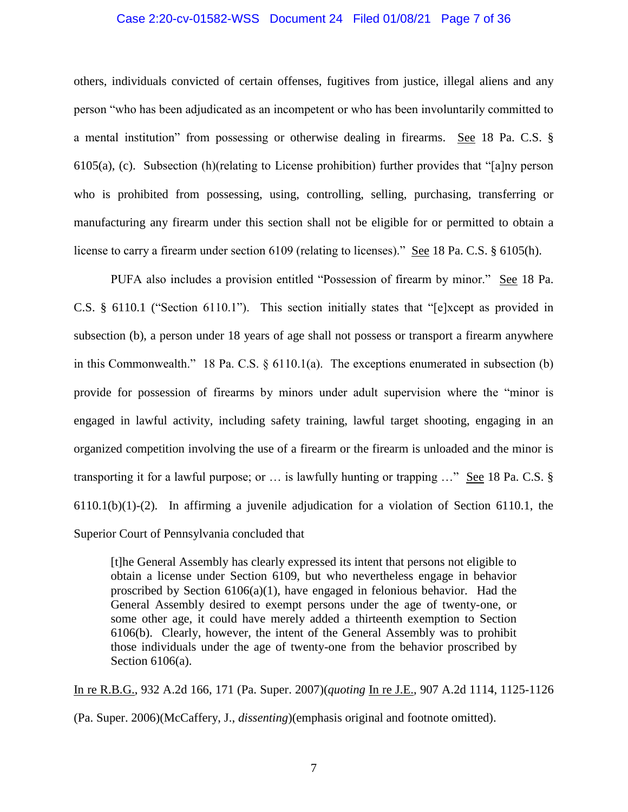#### Case 2:20-cv-01582-WSS Document 24 Filed 01/08/21 Page 7 of 36

others, individuals convicted of certain offenses, fugitives from justice, illegal aliens and any person "who has been adjudicated as an incompetent or who has been involuntarily committed to a mental institution" from possessing or otherwise dealing in firearms. See 18 Pa. C.S. § 6105(a), (c). Subsection (h)(relating to License prohibition) further provides that "[a]ny person who is prohibited from possessing, using, controlling, selling, purchasing, transferring or manufacturing any firearm under this section shall not be eligible for or permitted to obtain a license to carry a firearm under section 6109 (relating to licenses)." See 18 Pa. C.S. § 6105(h).

PUFA also includes a provision entitled "Possession of firearm by minor." See 18 Pa. C.S. § 6110.1 ("Section 6110.1"). This section initially states that "[e]xcept as provided in subsection (b), a person under 18 years of age shall not possess or transport a firearm anywhere in this Commonwealth." 18 Pa. C.S. § 6110.1(a). The exceptions enumerated in subsection (b) provide for possession of firearms by minors under adult supervision where the "minor is engaged in lawful activity, including safety training, lawful target shooting, engaging in an organized competition involving the use of a firearm or the firearm is unloaded and the minor is transporting it for a lawful purpose; or ... is lawfully hunting or trapping ..." See 18 Pa. C.S. §  $6110.1(b)(1)-(2)$ . In affirming a juvenile adjudication for a violation of Section 6110.1, the Superior Court of Pennsylvania concluded that

[t]he General Assembly has clearly expressed its intent that persons not eligible to obtain a license under Section 6109, but who nevertheless engage in behavior proscribed by Section 6106(a)(1), have engaged in felonious behavior. Had the General Assembly desired to exempt persons under the age of twenty-one, or some other age, it could have merely added a thirteenth exemption to Section 6106(b). Clearly, however, the intent of the General Assembly was to prohibit those individuals under the age of twenty-one from the behavior proscribed by Section 6106(a).

In re R.B.G., 932 A.2d 166, 171 (Pa. Super. 2007)(*quoting* In re J.E., 907 A.2d 1114, 1125-1126 (Pa. Super. 2006)(McCaffery, J., *dissenting*)(emphasis original and footnote omitted).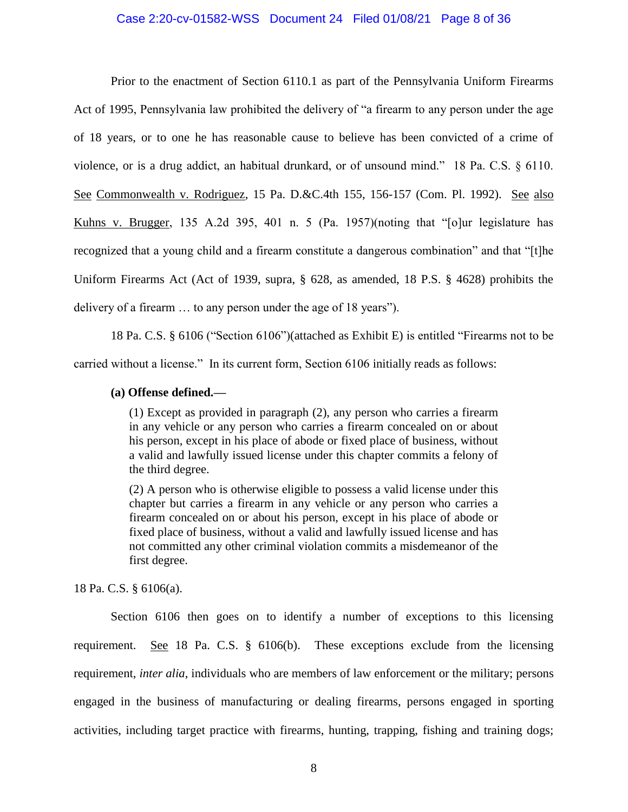#### Case 2:20-cv-01582-WSS Document 24 Filed 01/08/21 Page 8 of 36

Prior to the enactment of Section 6110.1 as part of the Pennsylvania Uniform Firearms Act of 1995, Pennsylvania law prohibited the delivery of "a firearm to any person under the age of 18 years, or to one he has reasonable cause to believe has been convicted of a crime of violence, or is a drug addict, an habitual drunkard, or of unsound mind." 18 Pa. C.S. § 6110. See Commonwealth v. Rodriguez, 15 Pa. D.&C.4th 155, 156-157 (Com. Pl. 1992). See also Kuhns v. Brugger, 135 A.2d 395, 401 n. 5 (Pa. 1957)(noting that "[o]ur legislature has recognized that a young child and a firearm constitute a dangerous combination" and that "[t]he Uniform Firearms Act (Act of 1939, supra, § 628, as amended, 18 P.S. § 4628) prohibits the delivery of a firearm … to any person under the age of 18 years").

18 Pa. C.S. § 6106 ("Section 6106")(attached as Exhibit E) is entitled "Firearms not to be carried without a license." In its current form, Section 6106 initially reads as follows:

#### **(a) Offense defined.—**

(1) Except as provided in paragraph (2), any person who carries a firearm in any vehicle or any person who carries a firearm concealed on or about his person, except in his place of abode or fixed place of business, without a valid and lawfully issued license under this chapter commits a felony of the third degree.

(2) A person who is otherwise eligible to possess a valid license under this chapter but carries a firearm in any vehicle or any person who carries a firearm concealed on or about his person, except in his place of abode or fixed place of business, without a valid and lawfully issued license and has not committed any other criminal violation commits a misdemeanor of the first degree.

18 Pa. C.S. § 6106(a).

Section 6106 then goes on to identify a number of exceptions to this licensing requirement. See 18 Pa. C.S. § 6106(b). These exceptions exclude from the licensing requirement, *inter alia*, individuals who are members of law enforcement or the military; persons engaged in the business of manufacturing or dealing firearms, persons engaged in sporting activities, including target practice with firearms, hunting, trapping, fishing and training dogs;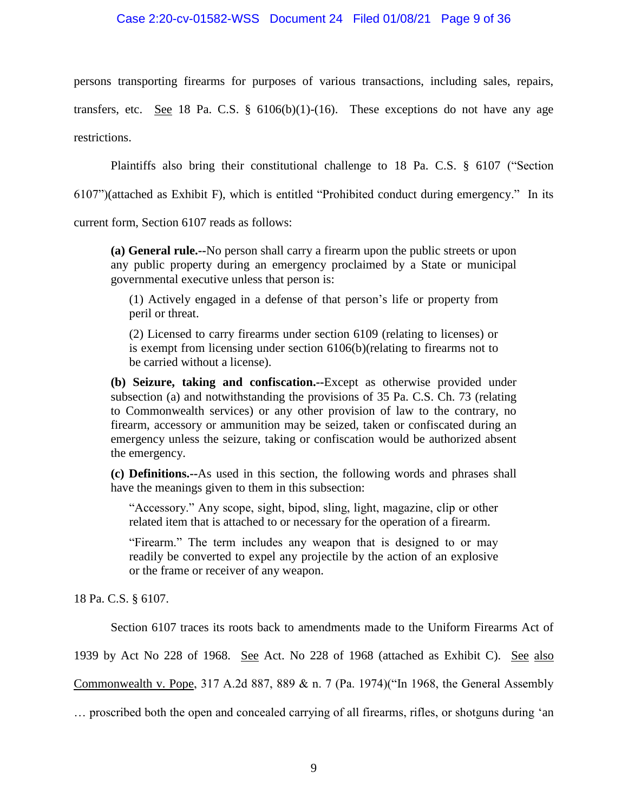#### Case 2:20-cv-01582-WSS Document 24 Filed 01/08/21 Page 9 of 36

persons transporting firearms for purposes of various transactions, including sales, repairs, transfers, etc. See 18 Pa. C.S.  $\S$  6106(b)(1)-(16). These exceptions do not have any age restrictions.

Plaintiffs also bring their constitutional challenge to 18 Pa. C.S. § 6107 ("Section

6107")(attached as Exhibit F), which is entitled "Prohibited conduct during emergency." In its

current form, Section 6107 reads as follows:

**(a) General rule.--**No person shall carry a firearm upon the public streets or upon any public property during an emergency proclaimed by a State or municipal governmental executive unless that person is:

(1) Actively engaged in a defense of that person's life or property from peril or threat.

(2) Licensed to carry firearms under section 6109 (relating to licenses) or is exempt from licensing under section 6106(b)(relating to firearms not to be carried without a license).

**(b) Seizure, taking and confiscation.--**Except as otherwise provided under subsection (a) and notwithstanding the provisions of 35 Pa. C.S. Ch. 73 (relating to Commonwealth services) or any other provision of law to the contrary, no firearm, accessory or ammunition may be seized, taken or confiscated during an emergency unless the seizure, taking or confiscation would be authorized absent the emergency.

**(c) Definitions.--**As used in this section, the following words and phrases shall have the meanings given to them in this subsection:

"Accessory." Any scope, sight, bipod, sling, light, magazine, clip or other related item that is attached to or necessary for the operation of a firearm.

"Firearm." The term includes any weapon that is designed to or may readily be converted to expel any projectile by the action of an explosive or the frame or receiver of any weapon.

18 Pa. C.S. § 6107.

Section 6107 traces its roots back to amendments made to the Uniform Firearms Act of

1939 by Act No 228 of 1968. See Act. No 228 of 1968 (attached as Exhibit C). See also

Commonwealth v. Pope, 317 A.2d 887, 889 & n. 7 (Pa. 1974)("In 1968, the General Assembly

… proscribed both the open and concealed carrying of all firearms, rifles, or shotguns during 'an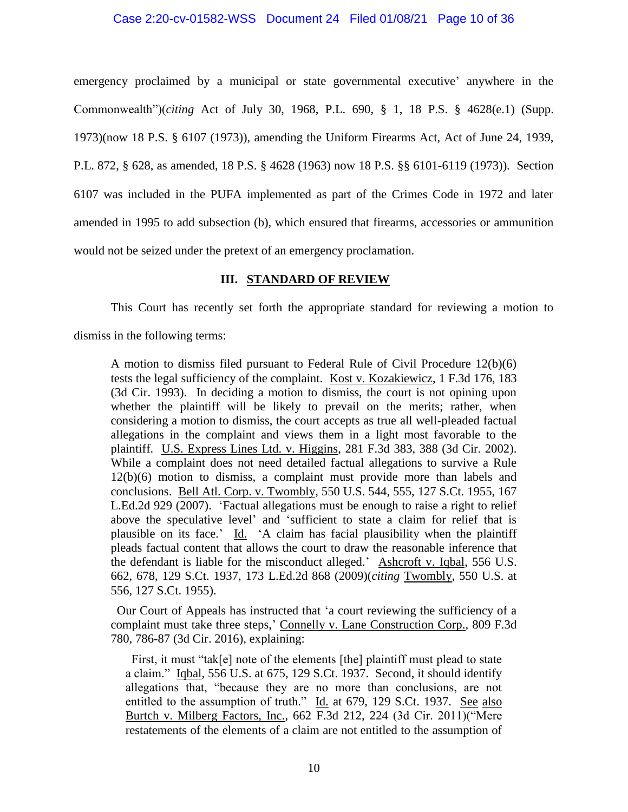#### Case 2:20-cv-01582-WSS Document 24 Filed 01/08/21 Page 10 of 36

emergency proclaimed by a municipal or state governmental executive' anywhere in the Commonwealth")(*citing* Act of July 30, 1968, P.L. 690, § 1, 18 P.S. § 4628(e.1) (Supp. 1973)(now 18 P.S. § 6107 (1973)), amending the Uniform Firearms Act, Act of June 24, 1939, P.L. 872, § 628, as amended, 18 P.S. § 4628 (1963) now 18 P.S. §§ 6101-6119 (1973)). Section 6107 was included in the PUFA implemented as part of the Crimes Code in 1972 and later amended in 1995 to add subsection (b), which ensured that firearms, accessories or ammunition would not be seized under the pretext of an emergency proclamation.

#### **III. STANDARD OF REVIEW**

This Court has recently set forth the appropriate standard for reviewing a motion to

dismiss in the following terms:

A motion to dismiss filed pursuant to Federal Rule of Civil Procedure 12(b)(6) tests the legal sufficiency of the complaint. Kost v. Kozakiewicz, 1 F.3d 176, 183 (3d Cir. 1993). In deciding a motion to dismiss, the court is not opining upon whether the plaintiff will be likely to prevail on the merits; rather, when considering a motion to dismiss, the court accepts as true all well-pleaded factual allegations in the complaint and views them in a light most favorable to the plaintiff. U.S. Express Lines Ltd. v. Higgins, 281 F.3d 383, 388 (3d Cir. 2002). While a complaint does not need detailed factual allegations to survive a Rule 12(b)(6) motion to dismiss, a complaint must provide more than labels and conclusions. Bell Atl. Corp. v. Twombly, 550 U.S. 544, 555, 127 S.Ct. 1955, 167 L.Ed.2d 929 (2007). 'Factual allegations must be enough to raise a right to relief above the speculative level' and 'sufficient to state a claim for relief that is plausible on its face.' Id. 'A claim has facial plausibility when the plaintiff pleads factual content that allows the court to draw the reasonable inference that the defendant is liable for the misconduct alleged.' Ashcroft v. Iqbal, 556 U.S. 662, 678, 129 S.Ct. 1937, 173 L.Ed.2d 868 (2009)(*citing* Twombly, 550 U.S. at 556, 127 S.Ct. 1955).

 Our Court of Appeals has instructed that 'a court reviewing the sufficiency of a complaint must take three steps,' Connelly v. Lane Construction Corp., 809 F.3d 780, 786-87 (3d Cir. 2016), explaining:

 First, it must "tak[e] note of the elements [the] plaintiff must plead to state a claim." Iqbal, 556 U.S. at 675, 129 S.Ct. 1937. Second, it should identify allegations that, "because they are no more than conclusions, are not entitled to the assumption of truth." Id. at 679, 129 S.Ct. 1937. See also Burtch v. Milberg Factors, Inc., 662 F.3d 212, 224 (3d Cir. 2011)("Mere restatements of the elements of a claim are not entitled to the assumption of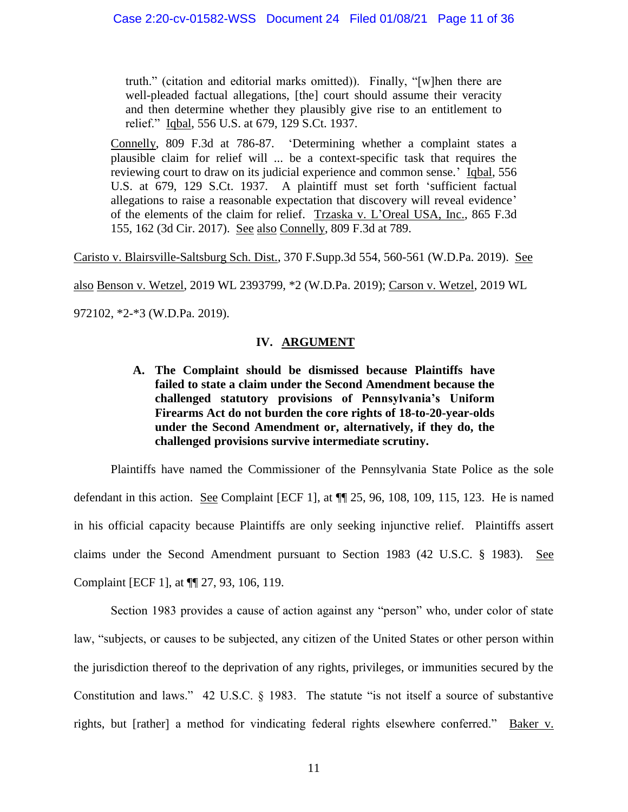truth." (citation and editorial marks omitted)). Finally, "[w]hen there are well-pleaded factual allegations, [the] court should assume their veracity and then determine whether they plausibly give rise to an entitlement to relief." Iqbal, 556 U.S. at 679, 129 S.Ct. 1937.

Connelly, 809 F.3d at 786-87. 'Determining whether a complaint states a plausible claim for relief will ... be a context-specific task that requires the reviewing court to draw on its judicial experience and common sense.' Iqbal, 556 U.S. at 679, 129 S.Ct. 1937. A plaintiff must set forth 'sufficient factual allegations to raise a reasonable expectation that discovery will reveal evidence' of the elements of the claim for relief. Trzaska v. L'Oreal USA, Inc., 865 F.3d 155, 162 (3d Cir. 2017). See also Connelly, 809 F.3d at 789.

Caristo v. Blairsville-Saltsburg Sch. Dist., 370 F.Supp.3d 554, 560-561 (W.D.Pa. 2019). See

also Benson v. Wetzel, 2019 WL 2393799, \*2 (W.D.Pa. 2019); Carson v. Wetzel, 2019 WL

972102, \*2-\*3 (W.D.Pa. 2019).

# **IV. ARGUMENT**

**A. The Complaint should be dismissed because Plaintiffs have failed to state a claim under the Second Amendment because the challenged statutory provisions of Pennsylvania's Uniform Firearms Act do not burden the core rights of 18-to-20-year-olds under the Second Amendment or, alternatively, if they do, the challenged provisions survive intermediate scrutiny.**

Plaintiffs have named the Commissioner of the Pennsylvania State Police as the sole defendant in this action. See Complaint [ECF 1], at ¶¶ 25, 96, 108, 109, 115, 123. He is named in his official capacity because Plaintiffs are only seeking injunctive relief. Plaintiffs assert claims under the Second Amendment pursuant to Section 1983 (42 U.S.C. § 1983). See Complaint [ECF 1], at ¶¶ 27, 93, 106, 119.

Section 1983 provides a cause of action against any "person" who, under color of state law, "subjects, or causes to be subjected, any citizen of the United States or other person within the jurisdiction thereof to the deprivation of any rights, privileges, or immunities secured by the Constitution and laws." 42 U.S.C. § 1983. The statute "is not itself a source of substantive rights, but [rather] a method for vindicating federal rights elsewhere conferred." Baker v.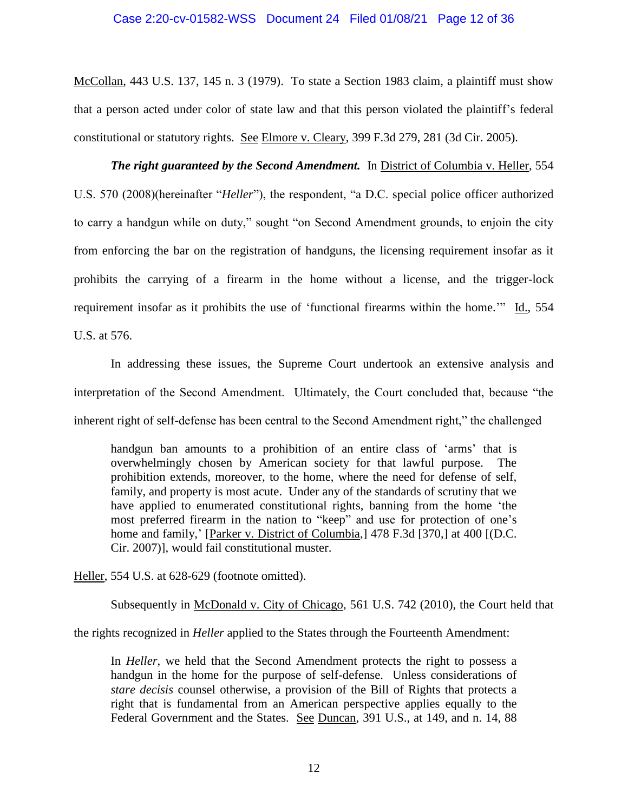#### Case 2:20-cv-01582-WSS Document 24 Filed 01/08/21 Page 12 of 36

McCollan, 443 U.S. 137, 145 n. 3 (1979). To state a Section 1983 claim, a plaintiff must show that a person acted under color of state law and that this person violated the plaintiff's federal constitutional or statutory rights. See Elmore v. Cleary, 399 F.3d 279, 281 (3d Cir. 2005).

*The right guaranteed by the Second Amendment.* In District of Columbia v. Heller, 554 U.S. 570 (2008)(hereinafter "*Heller*"), the respondent, "a D.C. special police officer authorized to carry a handgun while on duty," sought "on Second Amendment grounds, to enjoin the city from enforcing the bar on the registration of handguns, the licensing requirement insofar as it prohibits the carrying of a firearm in the home without a license, and the trigger-lock requirement insofar as it prohibits the use of 'functional firearms within the home.'" Id., 554 U.S. at 576.

In addressing these issues, the Supreme Court undertook an extensive analysis and interpretation of the Second Amendment. Ultimately, the Court concluded that, because "the inherent right of self-defense has been central to the Second Amendment right," the challenged

handgun ban amounts to a prohibition of an entire class of 'arms' that is overwhelmingly chosen by American society for that lawful purpose. The prohibition extends, moreover, to the home, where the need for defense of self, family, and property is most acute. Under any of the standards of scrutiny that we have applied to enumerated constitutional rights, banning from the home 'the most preferred firearm in the nation to "keep" and use for protection of one's home and family,' [Parker v. District of Columbia,] 478 F.3d [370,] at 400 [(D.C. Cir. 2007)], would fail constitutional muster.

Heller, 554 U.S. at 628-629 (footnote omitted).

Subsequently in McDonald v. City of Chicago, 561 U.S. 742 (2010), the Court held that

the rights recognized in *Heller* applied to the States through the Fourteenth Amendment:

In *Heller*, we held that the Second Amendment protects the right to possess a handgun in the home for the purpose of self-defense. Unless considerations of *stare decisis* counsel otherwise, a provision of the Bill of Rights that protects a right that is fundamental from an American perspective applies equally to the Federal Government and the States. See Duncan, 391 U.S., at 149, and n. 14, 88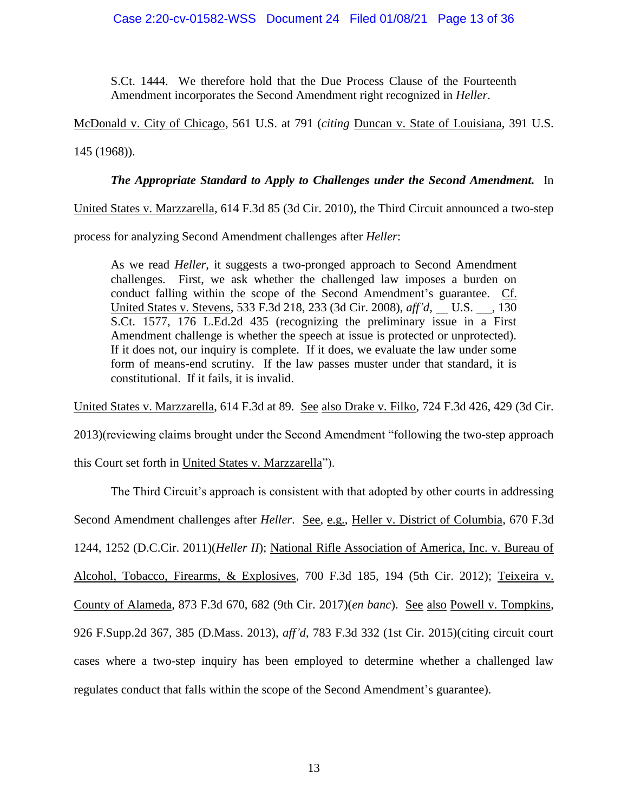S.Ct. 1444. We therefore hold that the Due Process Clause of the Fourteenth Amendment incorporates the Second Amendment right recognized in *Heller*.

McDonald v. City of Chicago, 561 U.S. at 791 (*citing* Duncan v. State of Louisiana, 391 U.S.

145 (1968)).

# *The Appropriate Standard to Apply to Challenges under the Second Amendment.* In

United States v. Marzzarella, 614 F.3d 85 (3d Cir. 2010), the Third Circuit announced a two-step

process for analyzing Second Amendment challenges after *Heller*:

As we read *Heller,* it suggests a two-pronged approach to Second Amendment challenges. First, we ask whether the challenged law imposes a burden on conduct falling within the scope of the Second Amendment's guarantee. Cf. United States v. Stevens, 533 F.3d 218, 233 (3d Cir. 2008), *aff'd*, U.S. 130 S.Ct. 1577, 176 L.Ed.2d 435 (recognizing the preliminary issue in a First Amendment challenge is whether the speech at issue is protected or unprotected). If it does not, our inquiry is complete. If it does, we evaluate the law under some form of means-end scrutiny. If the law passes muster under that standard, it is constitutional. If it fails, it is invalid.

United States v. Marzzarella, 614 F.3d at 89. See also Drake v. Filko, 724 F.3d 426, 429 (3d Cir.

2013)(reviewing claims brought under the Second Amendment "following the two-step approach

this Court set forth in United States v. Marzzarella").

The Third Circuit's approach is consistent with that adopted by other courts in addressing Second Amendment challenges after *Heller*. See, e.g., Heller v. District of Columbia, 670 F.3d 1244, 1252 (D.C.Cir. 2011)(*Heller II*); National Rifle Association of America, Inc. v. Bureau of Alcohol, Tobacco, Firearms, & Explosives, 700 F.3d 185, 194 (5th Cir. 2012); Teixeira v. County of Alameda, 873 F.3d 670, 682 (9th Cir. 2017)(*en banc*). See also Powell v. Tompkins, 926 F.Supp.2d 367, 385 (D.Mass. 2013), *aff'd*, 783 F.3d 332 (1st Cir. 2015)(citing circuit court cases where a two-step inquiry has been employed to determine whether a challenged law regulates conduct that falls within the scope of the Second Amendment's guarantee).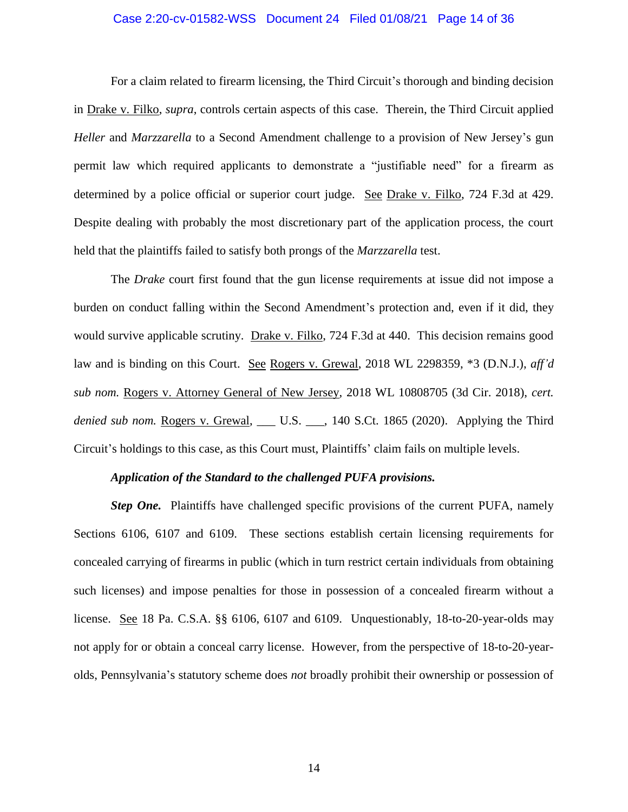#### Case 2:20-cv-01582-WSS Document 24 Filed 01/08/21 Page 14 of 36

For a claim related to firearm licensing, the Third Circuit's thorough and binding decision in Drake v. Filko, *supra*, controls certain aspects of this case. Therein, the Third Circuit applied *Heller* and *Marzzarella* to a Second Amendment challenge to a provision of New Jersey's gun permit law which required applicants to demonstrate a "justifiable need" for a firearm as determined by a police official or superior court judge. See Drake v. Filko, 724 F.3d at 429. Despite dealing with probably the most discretionary part of the application process, the court held that the plaintiffs failed to satisfy both prongs of the *Marzzarella* test.

The *Drake* court first found that the gun license requirements at issue did not impose a burden on conduct falling within the Second Amendment's protection and, even if it did, they would survive applicable scrutiny. Drake v. Filko, 724 F.3d at 440. This decision remains good law and is binding on this Court. See Rogers v. Grewal, 2018 WL 2298359, \*3 (D.N.J.), *aff'd sub nom.* Rogers v. Attorney General of New Jersey, 2018 WL 10808705 (3d Cir. 2018), *cert. denied sub nom.* Rogers v. Grewal, \_\_\_ U.S. \_\_\_, 140 S.Ct. 1865 (2020). Applying the Third Circuit's holdings to this case, as this Court must, Plaintiffs' claim fails on multiple levels.

#### *Application of the Standard to the challenged PUFA provisions.*

*Step One.* Plaintiffs have challenged specific provisions of the current PUFA, namely Sections 6106, 6107 and 6109. These sections establish certain licensing requirements for concealed carrying of firearms in public (which in turn restrict certain individuals from obtaining such licenses) and impose penalties for those in possession of a concealed firearm without a license. See 18 Pa. C.S.A. §§ 6106, 6107 and 6109. Unquestionably, 18-to-20-year-olds may not apply for or obtain a conceal carry license. However, from the perspective of 18-to-20-yearolds, Pennsylvania's statutory scheme does *not* broadly prohibit their ownership or possession of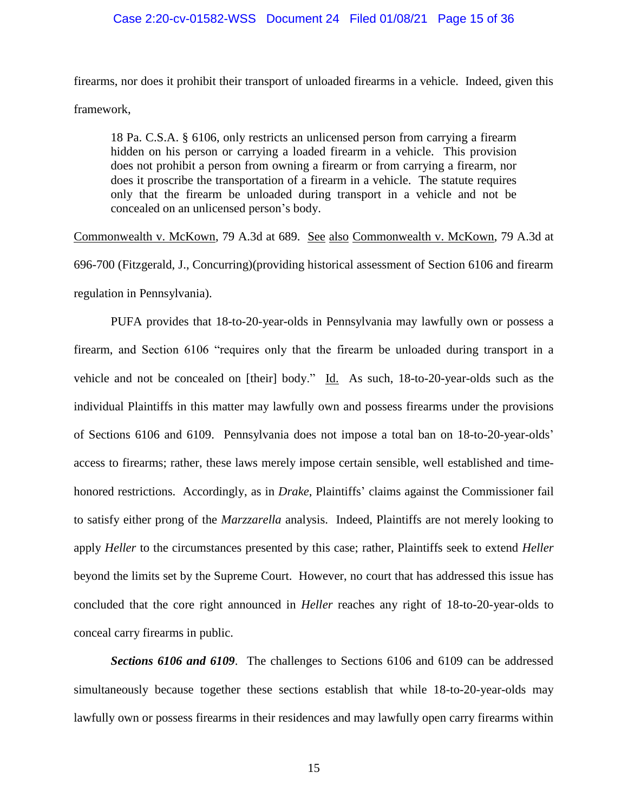#### Case 2:20-cv-01582-WSS Document 24 Filed 01/08/21 Page 15 of 36

firearms, nor does it prohibit their transport of unloaded firearms in a vehicle. Indeed, given this framework,

18 Pa. C.S.A. § 6106, only restricts an unlicensed person from carrying a firearm hidden on his person or carrying a loaded firearm in a vehicle. This provision does not prohibit a person from owning a firearm or from carrying a firearm, nor does it proscribe the transportation of a firearm in a vehicle. The statute requires only that the firearm be unloaded during transport in a vehicle and not be concealed on an unlicensed person's body.

Commonwealth v. McKown, 79 A.3d at 689. See also Commonwealth v. McKown, 79 A.3d at 696-700 (Fitzgerald, J., Concurring)(providing historical assessment of Section 6106 and firearm regulation in Pennsylvania).

PUFA provides that 18-to-20-year-olds in Pennsylvania may lawfully own or possess a firearm, and Section 6106 "requires only that the firearm be unloaded during transport in a vehicle and not be concealed on [their] body." Id. As such, 18-to-20-year-olds such as the individual Plaintiffs in this matter may lawfully own and possess firearms under the provisions of Sections 6106 and 6109. Pennsylvania does not impose a total ban on 18-to-20-year-olds' access to firearms; rather, these laws merely impose certain sensible, well established and timehonored restrictions. Accordingly, as in *Drake*, Plaintiffs' claims against the Commissioner fail to satisfy either prong of the *Marzzarella* analysis. Indeed, Plaintiffs are not merely looking to apply *Heller* to the circumstances presented by this case; rather, Plaintiffs seek to extend *Heller* beyond the limits set by the Supreme Court. However, no court that has addressed this issue has concluded that the core right announced in *Heller* reaches any right of 18-to-20-year-olds to conceal carry firearms in public.

*Sections 6106 and 6109*. The challenges to Sections 6106 and 6109 can be addressed simultaneously because together these sections establish that while 18-to-20-year-olds may lawfully own or possess firearms in their residences and may lawfully open carry firearms within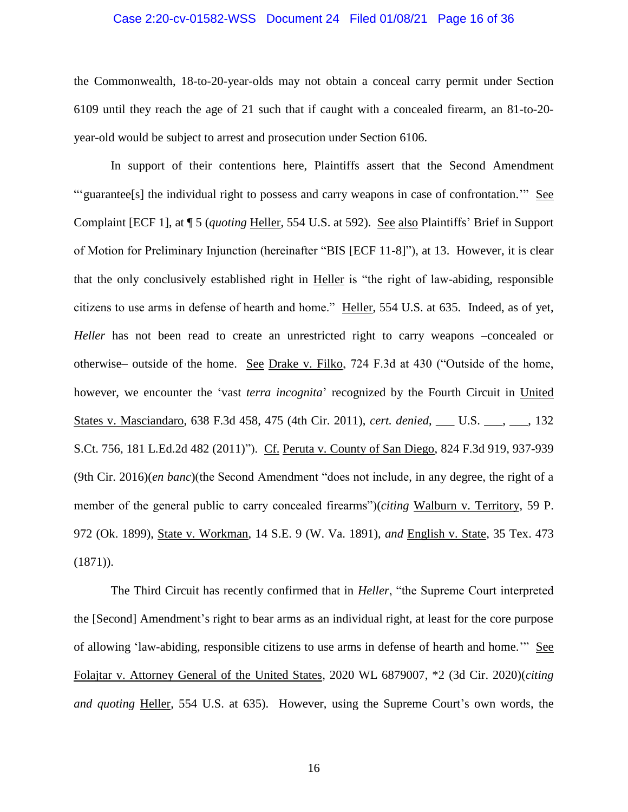#### Case 2:20-cv-01582-WSS Document 24 Filed 01/08/21 Page 16 of 36

the Commonwealth, 18-to-20-year-olds may not obtain a conceal carry permit under Section 6109 until they reach the age of 21 such that if caught with a concealed firearm, an 81-to-20 year-old would be subject to arrest and prosecution under Section 6106.

In support of their contentions here, Plaintiffs assert that the Second Amendment "'guarantee[s] the individual right to possess and carry weapons in case of confrontation.'" See Complaint [ECF 1], at ¶ 5 (*quoting* Heller, 554 U.S. at 592). See also Plaintiffs' Brief in Support of Motion for Preliminary Injunction (hereinafter "BIS [ECF 11-8]"), at 13. However, it is clear that the only conclusively established right in Heller is "the right of law-abiding, responsible citizens to use arms in defense of hearth and home." Heller, 554 U.S. at 635. Indeed, as of yet, *Heller* has not been read to create an unrestricted right to carry weapons –concealed or otherwise– outside of the home. See Drake v. Filko, 724 F.3d at 430 ("Outside of the home, however, we encounter the 'vast *terra incognita*' recognized by the Fourth Circuit in United States v. Masciandaro, 638 F.3d 458, 475 (4th Cir. 2011), *cert. denied*, \_\_\_ U.S. \_\_\_, \_\_\_, 132 S.Ct. 756, 181 L.Ed.2d 482 (2011)"). Cf. Peruta v. County of San Diego, 824 F.3d 919, 937-939 (9th Cir. 2016)(*en banc*)(the Second Amendment "does not include, in any degree, the right of a member of the general public to carry concealed firearms")(*citing* Walburn v. Territory, 59 P. 972 (Ok. 1899), State v. Workman, 14 S.E. 9 (W. Va. 1891), *and* English v. State, 35 Tex. 473  $(1871)$ ).

The Third Circuit has recently confirmed that in *Heller*, "the Supreme Court interpreted the [Second] Amendment's right to bear arms as an individual right, at least for the core purpose of allowing 'law-abiding, responsible citizens to use arms in defense of hearth and home.'" See Folajtar v. Attorney General of the United States, 2020 WL 6879007, \*2 (3d Cir. 2020)(*citing and quoting* Heller, 554 U.S. at 635). However, using the Supreme Court's own words, the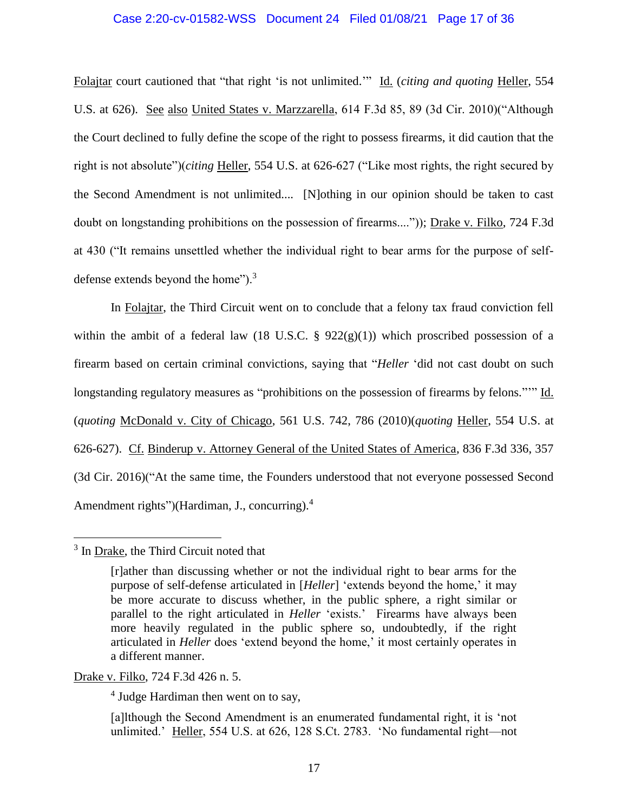#### Case 2:20-cv-01582-WSS Document 24 Filed 01/08/21 Page 17 of 36

Folajtar court cautioned that "that right 'is not unlimited.'" Id. (*citing and quoting* Heller, 554 U.S. at 626). See also United States v. Marzzarella, 614 F.3d 85, 89 (3d Cir. 2010)("Although the Court declined to fully define the scope of the right to possess firearms, it did caution that the right is not absolute")(*citing* Heller, 554 U.S. at 626-627 ("Like most rights, the right secured by the Second Amendment is not unlimited.... [N]othing in our opinion should be taken to cast doubt on longstanding prohibitions on the possession of firearms....")); Drake v. Filko, 724 F.3d at 430 ("It remains unsettled whether the individual right to bear arms for the purpose of selfdefense extends beyond the home").<sup>3</sup>

In Folajtar, the Third Circuit went on to conclude that a felony tax fraud conviction fell within the ambit of a federal law (18 U.S.C.  $\S$  922(g)(1)) which proscribed possession of a firearm based on certain criminal convictions, saying that "*Heller* 'did not cast doubt on such longstanding regulatory measures as "prohibitions on the possession of firearms by felons."'" Id. (*quoting* McDonald v. City of Chicago, 561 U.S. 742, 786 (2010)(*quoting* Heller, 554 U.S. at 626-627). Cf. Binderup v. Attorney General of the United States of America, 836 F.3d 336, 357 (3d Cir. 2016)("At the same time, the Founders understood that not everyone possessed Second Amendment rights")(Hardiman, J., concurring).<sup>4</sup>

 $\overline{a}$ 

Drake v. Filko, 724 F.3d 426 n. 5.

<sup>4</sup> Judge Hardiman then went on to say,

<sup>&</sup>lt;sup>3</sup> In **Drake**, the Third Circuit noted that

<sup>[</sup>r]ather than discussing whether or not the individual right to bear arms for the purpose of self-defense articulated in [*Heller*] 'extends beyond the home,' it may be more accurate to discuss whether, in the public sphere, a right similar or parallel to the right articulated in *Heller* 'exists.' Firearms have always been more heavily regulated in the public sphere so, undoubtedly, if the right articulated in *Heller* does 'extend beyond the home,' it most certainly operates in a different manner.

<sup>[</sup>a]lthough the Second Amendment is an enumerated fundamental right, it is 'not unlimited.' Heller, 554 U.S. at 626, 128 S.Ct. 2783. 'No fundamental right—not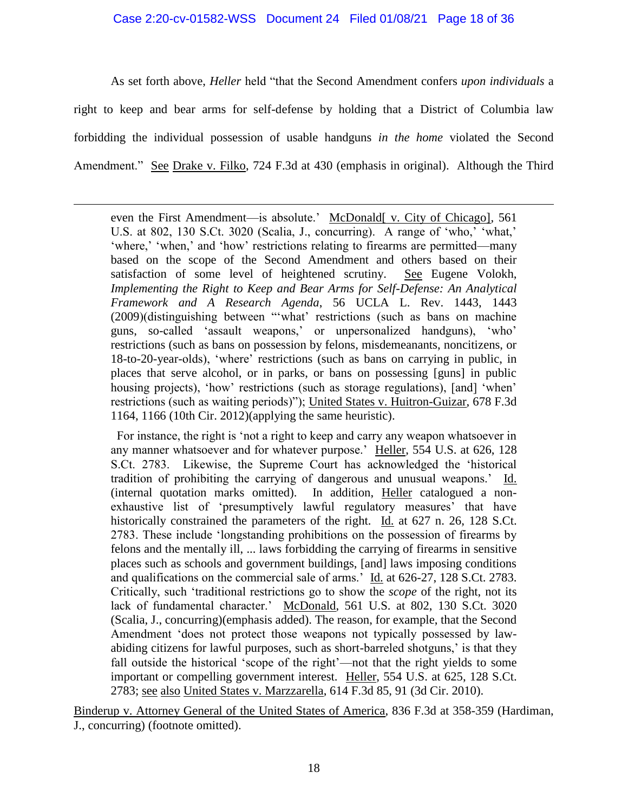### Case 2:20-cv-01582-WSS Document 24 Filed 01/08/21 Page 18 of 36

As set forth above, *Heller* held "that the Second Amendment confers *upon individuals* a right to keep and bear arms for self-defense by holding that a District of Columbia law forbidding the individual possession of usable handguns *in the home* violated the Second Amendment." See Drake v. Filko, 724 F.3d at 430 (emphasis in original). Although the Third

 $\overline{a}$ 

even the First Amendment—is absolute.' McDonald[ v. City of Chicago], 561 U.S. at 802, 130 S.Ct. 3020 (Scalia, J., concurring). A range of 'who,' 'what,' 'where,' 'when,' and 'how' restrictions relating to firearms are permitted—many based on the scope of the Second Amendment and others based on their satisfaction of some level of heightened scrutiny. See Eugene Volokh, *Implementing the Right to Keep and Bear Arms for Self-Defense: An Analytical Framework and A Research Agenda*, 56 UCLA L. Rev. 1443, 1443 (2009)(distinguishing between "'what' restrictions (such as bans on machine guns, so-called 'assault weapons,' or unpersonalized handguns), 'who' restrictions (such as bans on possession by felons, misdemeanants, noncitizens, or 18-to-20-year-olds), 'where' restrictions (such as bans on carrying in public, in places that serve alcohol, or in parks, or bans on possessing [guns] in public housing projects), 'how' restrictions (such as storage regulations), [and] 'when' restrictions (such as waiting periods)"); United States v. Huitron-Guizar, 678 F.3d 1164, 1166 (10th Cir. 2012)(applying the same heuristic).

 For instance, the right is 'not a right to keep and carry any weapon whatsoever in any manner whatsoever and for whatever purpose.' Heller, 554 U.S. at 626, 128 S.Ct. 2783. Likewise, the Supreme Court has acknowledged the 'historical tradition of prohibiting the carrying of dangerous and unusual weapons.' Id. (internal quotation marks omitted). In addition, Heller catalogued a nonexhaustive list of 'presumptively lawful regulatory measures' that have historically constrained the parameters of the right. Id. at 627 n. 26, 128 S.Ct. 2783. These include 'longstanding prohibitions on the possession of firearms by felons and the mentally ill, ... laws forbidding the carrying of firearms in sensitive places such as schools and government buildings, [and] laws imposing conditions and qualifications on the commercial sale of arms.' Id. at 626-27, 128 S.Ct. 2783. Critically, such 'traditional restrictions go to show the *scope* of the right, not its lack of fundamental character.' McDonald, 561 U.S. at 802, 130 S.Ct. 3020 (Scalia, J., concurring)(emphasis added). The reason, for example, that the Second Amendment 'does not protect those weapons not typically possessed by lawabiding citizens for lawful purposes, such as short-barreled shotguns,' is that they fall outside the historical 'scope of the right'—not that the right yields to some important or compelling government interest. Heller, 554 U.S. at 625, 128 S.Ct. 2783; see also United States v. Marzzarella, 614 F.3d 85, 91 (3d Cir. 2010).

Binderup v. Attorney General of the United States of America, 836 F.3d at 358-359 (Hardiman, J., concurring) (footnote omitted).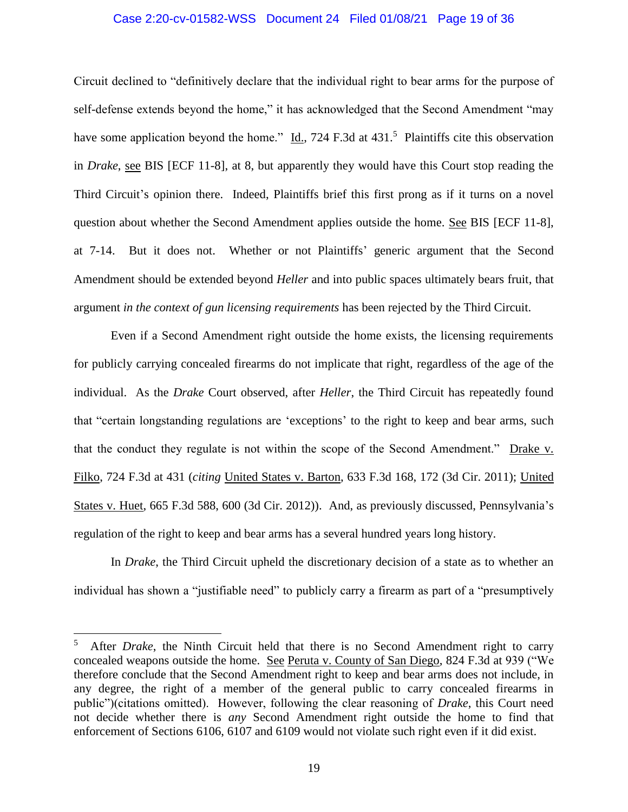#### Case 2:20-cv-01582-WSS Document 24 Filed 01/08/21 Page 19 of 36

Circuit declined to "definitively declare that the individual right to bear arms for the purpose of self-defense extends beyond the home," it has acknowledged that the Second Amendment "may have some application beyond the home." Id., 724 F.3d at 431.<sup>5</sup> Plaintiffs cite this observation in *Drake*, see BIS [ECF 11-8], at 8, but apparently they would have this Court stop reading the Third Circuit's opinion there. Indeed, Plaintiffs brief this first prong as if it turns on a novel question about whether the Second Amendment applies outside the home. See BIS [ECF 11-8], at 7-14. But it does not. Whether or not Plaintiffs' generic argument that the Second Amendment should be extended beyond *Heller* and into public spaces ultimately bears fruit, that argument *in the context of gun licensing requirements* has been rejected by the Third Circuit.

Even if a Second Amendment right outside the home exists, the licensing requirements for publicly carrying concealed firearms do not implicate that right, regardless of the age of the individual. As the *Drake* Court observed, after *Heller*, the Third Circuit has repeatedly found that "certain longstanding regulations are 'exceptions' to the right to keep and bear arms, such that the conduct they regulate is not within the scope of the Second Amendment." Drake v. Filko, 724 F.3d at 431 (*citing* United States v. Barton, 633 F.3d 168, 172 (3d Cir. 2011); United States v. Huet, 665 F.3d 588, 600 (3d Cir. 2012)). And, as previously discussed, Pennsylvania's regulation of the right to keep and bear arms has a several hundred years long history.

In *Drake*, the Third Circuit upheld the discretionary decision of a state as to whether an individual has shown a "justifiable need" to publicly carry a firearm as part of a "presumptively

 $\overline{a}$ 

<sup>5</sup> After *Drake*, the Ninth Circuit held that there is no Second Amendment right to carry concealed weapons outside the home. See Peruta v. County of San Diego, 824 F.3d at 939 ("We therefore conclude that the Second Amendment right to keep and bear arms does not include, in any degree, the right of a member of the general public to carry concealed firearms in public")(citations omitted). However, following the clear reasoning of *Drake*, this Court need not decide whether there is *any* Second Amendment right outside the home to find that enforcement of Sections 6106, 6107 and 6109 would not violate such right even if it did exist.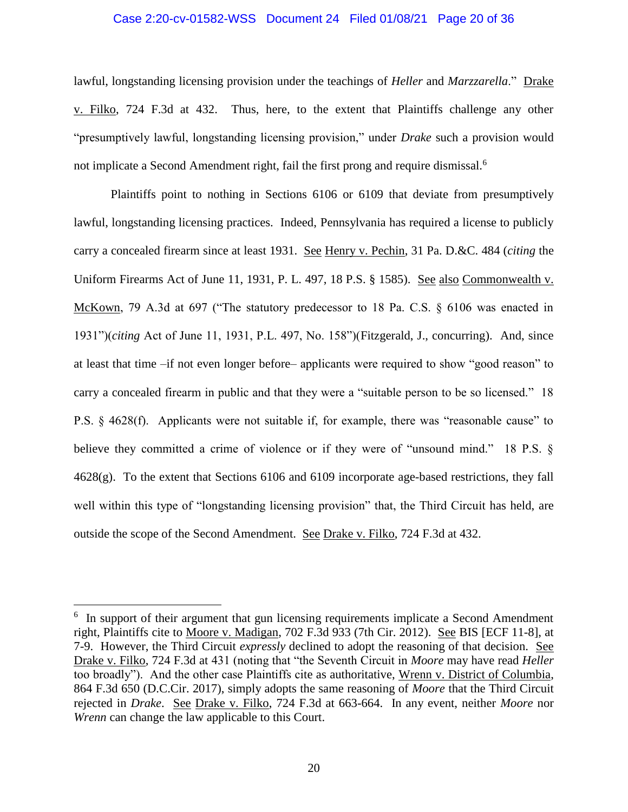#### Case 2:20-cv-01582-WSS Document 24 Filed 01/08/21 Page 20 of 36

lawful, longstanding licensing provision under the teachings of *Heller* and *Marzzarella*." Drake v. Filko, 724 F.3d at 432. Thus, here, to the extent that Plaintiffs challenge any other "presumptively lawful, longstanding licensing provision," under *Drake* such a provision would not implicate a Second Amendment right, fail the first prong and require dismissal.<sup>6</sup>

Plaintiffs point to nothing in Sections 6106 or 6109 that deviate from presumptively lawful, longstanding licensing practices. Indeed, Pennsylvania has required a license to publicly carry a concealed firearm since at least 1931. See Henry v. Pechin, 31 Pa. D.&C. 484 (*citing* the Uniform Firearms Act of June 11, 1931, P. L. 497, 18 P.S. § 1585). See also Commonwealth v. McKown, 79 A.3d at 697 ("The statutory predecessor to 18 Pa. C.S. § 6106 was enacted in 1931")(*citing* Act of June 11, 1931, P.L. 497, No. 158")(Fitzgerald, J., concurring). And, since at least that time –if not even longer before– applicants were required to show "good reason" to carry a concealed firearm in public and that they were a "suitable person to be so licensed." 18 P.S. § 4628(f). Applicants were not suitable if, for example, there was "reasonable cause" to believe they committed a crime of violence or if they were of "unsound mind." 18 P.S. § 4628(g). To the extent that Sections 6106 and 6109 incorporate age-based restrictions, they fall well within this type of "longstanding licensing provision" that, the Third Circuit has held, are outside the scope of the Second Amendment. See Drake v. Filko, 724 F.3d at 432.

 $\overline{a}$ 

<sup>&</sup>lt;sup>6</sup> In support of their argument that gun licensing requirements implicate a Second Amendment right, Plaintiffs cite to Moore v. Madigan, 702 F.3d 933 (7th Cir. 2012). See BIS [ECF 11-8], at 7-9. However, the Third Circuit *expressly* declined to adopt the reasoning of that decision. See Drake v. Filko, 724 F.3d at 431 (noting that "the Seventh Circuit in *Moore* may have read *Heller* too broadly"). And the other case Plaintiffs cite as authoritative, Wrenn v. District of Columbia, 864 F.3d 650 (D.C.Cir. 2017), simply adopts the same reasoning of *Moore* that the Third Circuit rejected in *Drake*. See Drake v. Filko, 724 F.3d at 663-664. In any event, neither *Moore* nor *Wrenn* can change the law applicable to this Court.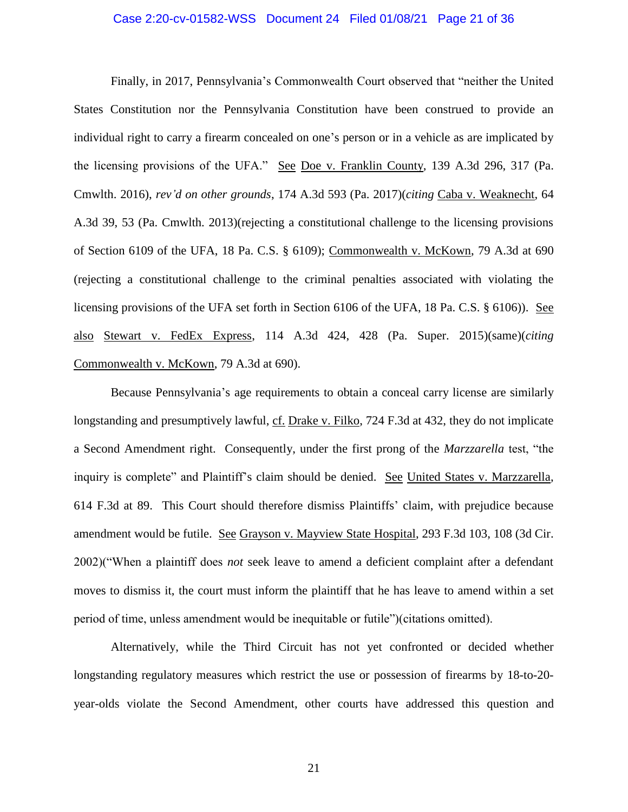#### Case 2:20-cv-01582-WSS Document 24 Filed 01/08/21 Page 21 of 36

Finally, in 2017, Pennsylvania's Commonwealth Court observed that "neither the United States Constitution nor the Pennsylvania Constitution have been construed to provide an individual right to carry a firearm concealed on one's person or in a vehicle as are implicated by the licensing provisions of the UFA." See Doe v. Franklin County, 139 A.3d 296, 317 (Pa. Cmwlth. 2016), *rev'd on other grounds*, 174 A.3d 593 (Pa. 2017)(*citing* Caba v. Weaknecht, 64 A.3d 39, 53 (Pa. Cmwlth. 2013)(rejecting a constitutional challenge to the licensing provisions of Section 6109 of the UFA, 18 Pa. C.S. § 6109); Commonwealth v. McKown, 79 A.3d at 690 (rejecting a constitutional challenge to the criminal penalties associated with violating the licensing provisions of the UFA set forth in Section 6106 of the UFA, 18 Pa. C.S. § 6106)). See also Stewart v. FedEx Express, 114 A.3d 424, 428 (Pa. Super. 2015)(same)(*citing* Commonwealth v. McKown, 79 A.3d at 690).

Because Pennsylvania's age requirements to obtain a conceal carry license are similarly longstanding and presumptively lawful, cf. Drake v. Filko, 724 F.3d at 432, they do not implicate a Second Amendment right. Consequently, under the first prong of the *Marzzarella* test, "the inquiry is complete" and Plaintiff's claim should be denied. See United States v. Marzzarella, 614 F.3d at 89. This Court should therefore dismiss Plaintiffs' claim, with prejudice because amendment would be futile. See Grayson v. Mayview State Hospital, 293 F.3d 103, 108 (3d Cir. 2002)("When a plaintiff does *not* seek leave to amend a deficient complaint after a defendant moves to dismiss it, the court must inform the plaintiff that he has leave to amend within a set period of time, unless amendment would be inequitable or futile")(citations omitted).

Alternatively, while the Third Circuit has not yet confronted or decided whether longstanding regulatory measures which restrict the use or possession of firearms by 18-to-20 year-olds violate the Second Amendment, other courts have addressed this question and

21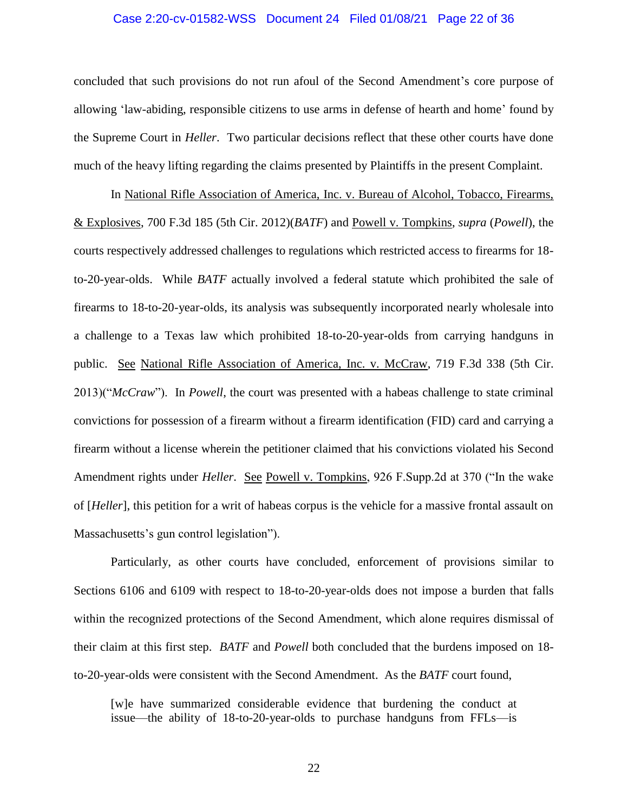#### Case 2:20-cv-01582-WSS Document 24 Filed 01/08/21 Page 22 of 36

concluded that such provisions do not run afoul of the Second Amendment's core purpose of allowing 'law-abiding, responsible citizens to use arms in defense of hearth and home' found by the Supreme Court in *Heller*. Two particular decisions reflect that these other courts have done much of the heavy lifting regarding the claims presented by Plaintiffs in the present Complaint.

In National Rifle Association of America, Inc. v. Bureau of Alcohol, Tobacco, Firearms, & Explosives, 700 F.3d 185 (5th Cir. 2012)(*BATF*) and Powell v. Tompkins, *supra* (*Powell*), the courts respectively addressed challenges to regulations which restricted access to firearms for 18 to-20-year-olds. While *BATF* actually involved a federal statute which prohibited the sale of firearms to 18-to-20-year-olds, its analysis was subsequently incorporated nearly wholesale into a challenge to a Texas law which prohibited 18-to-20-year-olds from carrying handguns in public. See National Rifle Association of America, Inc. v. McCraw, 719 F.3d 338 (5th Cir. 2013)("*McCraw*"). In *Powell*, the court was presented with a habeas challenge to state criminal convictions for possession of a firearm without a firearm identification (FID) card and carrying a firearm without a license wherein the petitioner claimed that his convictions violated his Second Amendment rights under *Heller*. See Powell v. Tompkins, 926 F.Supp.2d at 370 ("In the wake of [*Heller*], this petition for a writ of habeas corpus is the vehicle for a massive frontal assault on Massachusetts's gun control legislation").

Particularly, as other courts have concluded, enforcement of provisions similar to Sections 6106 and 6109 with respect to 18-to-20-year-olds does not impose a burden that falls within the recognized protections of the Second Amendment, which alone requires dismissal of their claim at this first step. *BATF* and *Powell* both concluded that the burdens imposed on 18 to-20-year-olds were consistent with the Second Amendment. As the *BATF* court found,

[w]e have summarized considerable evidence that burdening the conduct at issue—the ability of 18-to-20-year-olds to purchase handguns from FFLs—is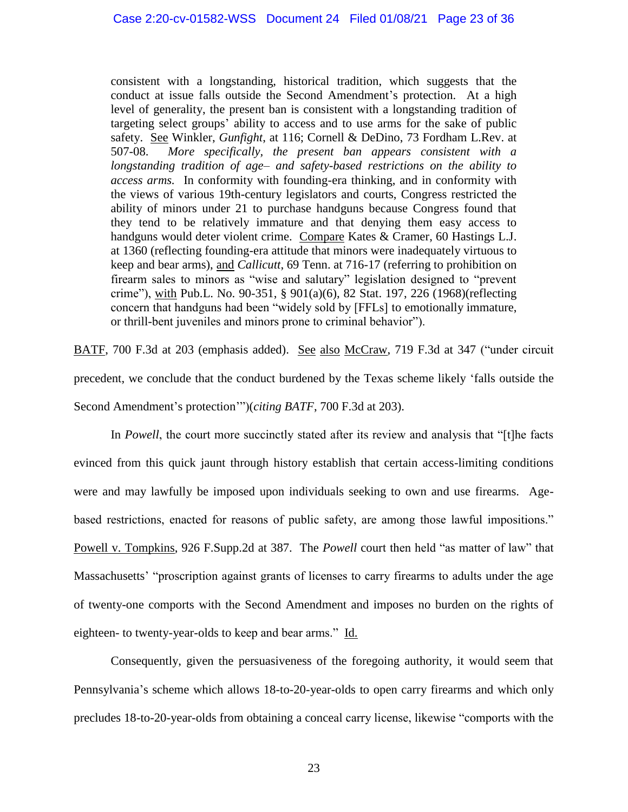consistent with a longstanding, historical tradition, which suggests that the conduct at issue falls outside the Second Amendment's protection. At a high level of generality, the present ban is consistent with a longstanding tradition of targeting select groups' ability to access and to use arms for the sake of public safety. See Winkler, *Gunfight*, at 116; Cornell & DeDino, 73 Fordham L.Rev. at 507-08. *More specifically, the present ban appears consistent with a longstanding tradition of age– and safety-based restrictions on the ability to access arms.* In conformity with founding-era thinking, and in conformity with the views of various 19th-century legislators and courts, Congress restricted the ability of minors under 21 to purchase handguns because Congress found that they tend to be relatively immature and that denying them easy access to handguns would deter violent crime. Compare Kates & Cramer, 60 Hastings L.J. at 1360 (reflecting founding-era attitude that minors were inadequately virtuous to keep and bear arms), and *Callicutt*, 69 Tenn. at 716-17 (referring to prohibition on firearm sales to minors as "wise and salutary" legislation designed to "prevent crime"), with Pub.L. No. 90-351, § 901(a)(6), 82 Stat. 197, 226 (1968)(reflecting concern that handguns had been "widely sold by [FFLs] to emotionally immature, or thrill-bent juveniles and minors prone to criminal behavior").

BATF, 700 F.3d at 203 (emphasis added). See also McCraw, 719 F.3d at 347 ("under circuit precedent, we conclude that the conduct burdened by the Texas scheme likely 'falls outside the Second Amendment's protection'")(*citing BATF*, 700 F.3d at 203).

In *Powell*, the court more succinctly stated after its review and analysis that "[t]he facts evinced from this quick jaunt through history establish that certain access-limiting conditions were and may lawfully be imposed upon individuals seeking to own and use firearms. Agebased restrictions, enacted for reasons of public safety, are among those lawful impositions." Powell v. Tompkins, 926 F.Supp.2d at 387. The *Powell* court then held "as matter of law" that Massachusetts' "proscription against grants of licenses to carry firearms to adults under the age of twenty-one comports with the Second Amendment and imposes no burden on the rights of eighteen- to twenty-year-olds to keep and bear arms." Id.

Consequently, given the persuasiveness of the foregoing authority, it would seem that Pennsylvania's scheme which allows 18-to-20-year-olds to open carry firearms and which only precludes 18-to-20-year-olds from obtaining a conceal carry license, likewise "comports with the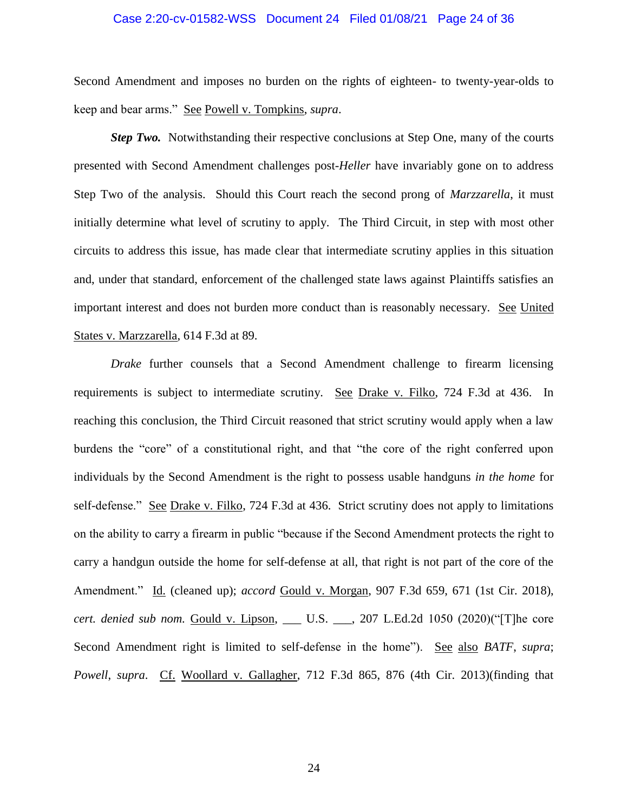#### Case 2:20-cv-01582-WSS Document 24 Filed 01/08/21 Page 24 of 36

Second Amendment and imposes no burden on the rights of eighteen- to twenty-year-olds to keep and bear arms." See Powell v. Tompkins, *supra*.

*Step Two.* Notwithstanding their respective conclusions at Step One, many of the courts presented with Second Amendment challenges post-*Heller* have invariably gone on to address Step Two of the analysis. Should this Court reach the second prong of *Marzzarella*, it must initially determine what level of scrutiny to apply. The Third Circuit, in step with most other circuits to address this issue, has made clear that intermediate scrutiny applies in this situation and, under that standard, enforcement of the challenged state laws against Plaintiffs satisfies an important interest and does not burden more conduct than is reasonably necessary. See United States v. Marzzarella, 614 F.3d at 89.

*Drake* further counsels that a Second Amendment challenge to firearm licensing requirements is subject to intermediate scrutiny. See Drake v. Filko, 724 F.3d at 436. In reaching this conclusion, the Third Circuit reasoned that strict scrutiny would apply when a law burdens the "core" of a constitutional right, and that "the core of the right conferred upon individuals by the Second Amendment is the right to possess usable handguns *in the home* for self-defense." See Drake v. Filko, 724 F.3d at 436. Strict scrutiny does not apply to limitations on the ability to carry a firearm in public "because if the Second Amendment protects the right to carry a handgun outside the home for self-defense at all, that right is not part of the core of the Amendment." Id. (cleaned up); *accord* Gould v. Morgan, 907 F.3d 659, 671 (1st Cir. 2018), *cert. denied sub nom.* Gould v. Lipson, \_\_\_ U.S. \_\_\_, 207 L.Ed.2d 1050 (2020)("[T]he core Second Amendment right is limited to self-defense in the home"). See also *BATF*, *supra*; *Powell*, *supra*. Cf. Woollard v. Gallagher, 712 F.3d 865, 876 (4th Cir. 2013)(finding that

24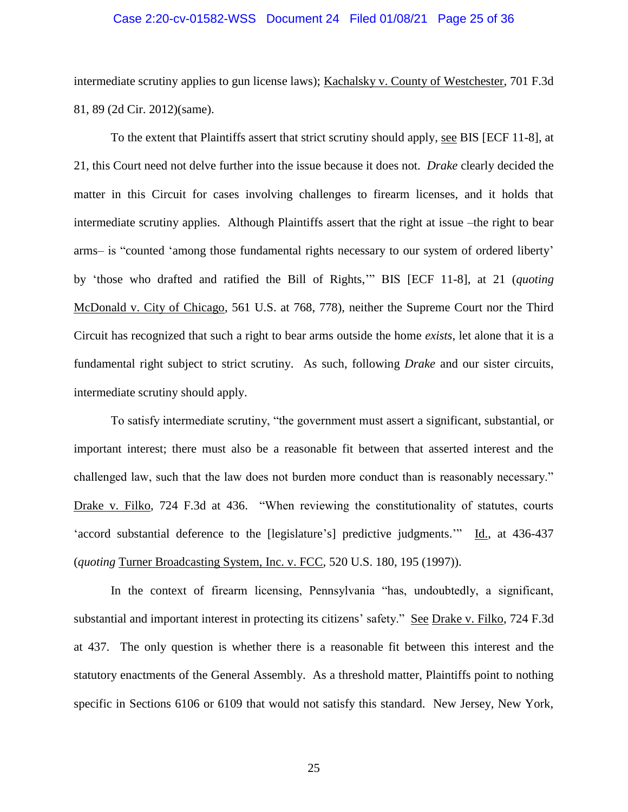#### Case 2:20-cv-01582-WSS Document 24 Filed 01/08/21 Page 25 of 36

intermediate scrutiny applies to gun license laws); Kachalsky v. County of Westchester, 701 F.3d 81, 89 (2d Cir. 2012)(same).

To the extent that Plaintiffs assert that strict scrutiny should apply, see BIS [ECF 11-8], at 21, this Court need not delve further into the issue because it does not. *Drake* clearly decided the matter in this Circuit for cases involving challenges to firearm licenses, and it holds that intermediate scrutiny applies. Although Plaintiffs assert that the right at issue –the right to bear arms– is "counted 'among those fundamental rights necessary to our system of ordered liberty' by 'those who drafted and ratified the Bill of Rights,'" BIS [ECF 11-8], at 21 (*quoting* McDonald v. City of Chicago, 561 U.S. at 768, 778), neither the Supreme Court nor the Third Circuit has recognized that such a right to bear arms outside the home *exists*, let alone that it is a fundamental right subject to strict scrutiny. As such, following *Drake* and our sister circuits, intermediate scrutiny should apply.

To satisfy intermediate scrutiny, "the government must assert a significant, substantial, or important interest; there must also be a reasonable fit between that asserted interest and the challenged law, such that the law does not burden more conduct than is reasonably necessary." Drake v. Filko, 724 F.3d at 436. "When reviewing the constitutionality of statutes, courts 'accord substantial deference to the [legislature's] predictive judgments.'" Id., at 436-437 (*quoting* Turner Broadcasting System, Inc. v. FCC, 520 U.S. 180, 195 (1997)).

In the context of firearm licensing, Pennsylvania "has, undoubtedly, a significant, substantial and important interest in protecting its citizens' safety." See Drake v. Filko, 724 F.3d at 437. The only question is whether there is a reasonable fit between this interest and the statutory enactments of the General Assembly. As a threshold matter, Plaintiffs point to nothing specific in Sections 6106 or 6109 that would not satisfy this standard. New Jersey, New York,

25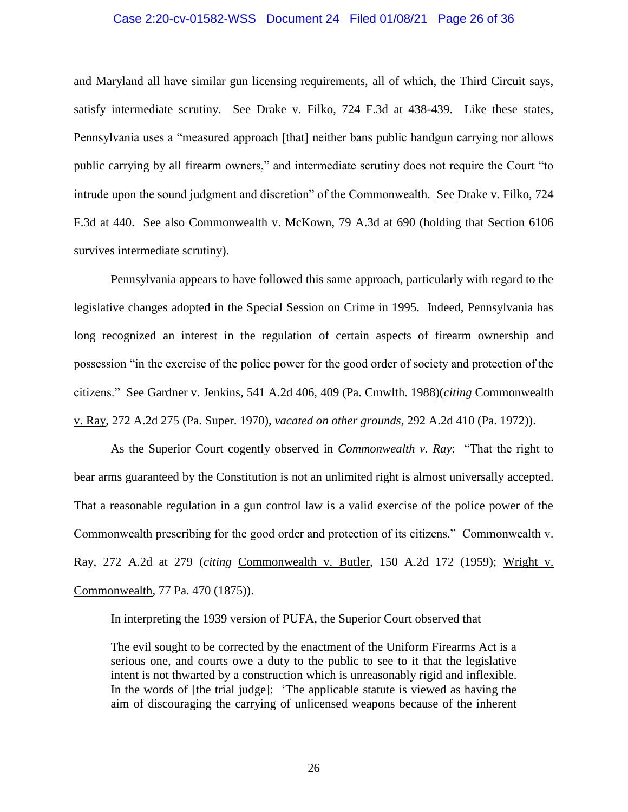#### Case 2:20-cv-01582-WSS Document 24 Filed 01/08/21 Page 26 of 36

and Maryland all have similar gun licensing requirements, all of which, the Third Circuit says, satisfy intermediate scrutiny. See Drake v. Filko, 724 F.3d at 438-439. Like these states, Pennsylvania uses a "measured approach [that] neither bans public handgun carrying nor allows public carrying by all firearm owners," and intermediate scrutiny does not require the Court "to intrude upon the sound judgment and discretion" of the Commonwealth. See Drake v. Filko, 724 F.3d at 440. See also Commonwealth v. McKown, 79 A.3d at 690 (holding that Section 6106 survives intermediate scrutiny).

Pennsylvania appears to have followed this same approach, particularly with regard to the legislative changes adopted in the Special Session on Crime in 1995. Indeed, Pennsylvania has long recognized an interest in the regulation of certain aspects of firearm ownership and possession "in the exercise of the police power for the good order of society and protection of the citizens." See Gardner v. Jenkins, 541 A.2d 406, 409 (Pa. Cmwlth. 1988)(*citing* Commonwealth v. Ray, 272 A.2d 275 (Pa. Super. 1970), *vacated on other grounds*, 292 A.2d 410 (Pa. 1972)).

As the Superior Court cogently observed in *Commonwealth v. Ray*: "That the right to bear arms guaranteed by the Constitution is not an unlimited right is almost universally accepted. That a reasonable regulation in a gun control law is a valid exercise of the police power of the Commonwealth prescribing for the good order and protection of its citizens." Commonwealth v. Ray, 272 A.2d at 279 (*citing* Commonwealth v. Butler, 150 A.2d 172 (1959); Wright v. Commonwealth, 77 Pa. 470 (1875)).

In interpreting the 1939 version of PUFA, the Superior Court observed that

The evil sought to be corrected by the enactment of the Uniform Firearms Act is a serious one, and courts owe a duty to the public to see to it that the legislative intent is not thwarted by a construction which is unreasonably rigid and inflexible. In the words of [the trial judge]: 'The applicable statute is viewed as having the aim of discouraging the carrying of unlicensed weapons because of the inherent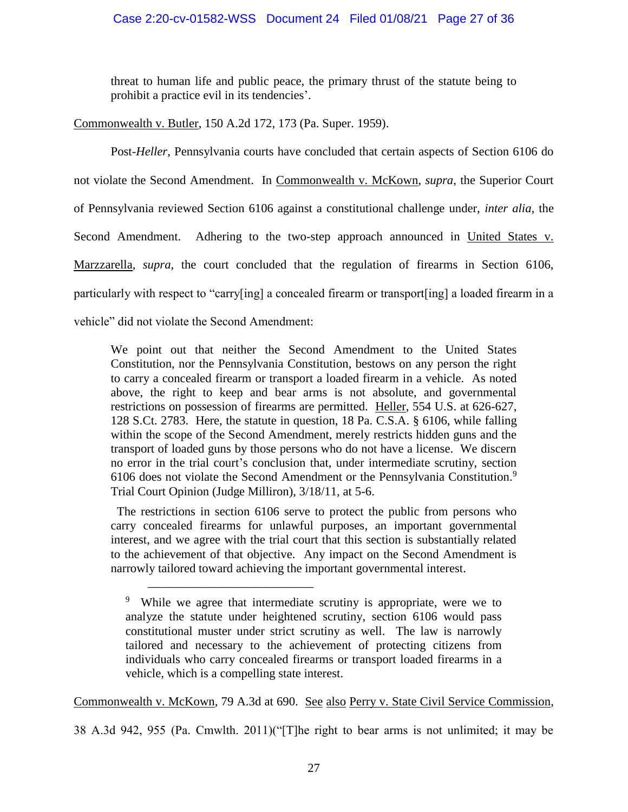## Case 2:20-cv-01582-WSS Document 24 Filed 01/08/21 Page 27 of 36

threat to human life and public peace, the primary thrust of the statute being to prohibit a practice evil in its tendencies'.

Commonwealth v. Butler, 150 A.2d 172, 173 (Pa. Super. 1959).

Post-*Heller*, Pennsylvania courts have concluded that certain aspects of Section 6106 do not violate the Second Amendment. In Commonwealth v. McKown, *supra*, the Superior Court of Pennsylvania reviewed Section 6106 against a constitutional challenge under, *inter alia*, the Second Amendment. Adhering to the two-step approach announced in United States v. Marzzarella, *supra*, the court concluded that the regulation of firearms in Section 6106, particularly with respect to "carry[ing] a concealed firearm or transport[ing] a loaded firearm in a vehicle" did not violate the Second Amendment:

We point out that neither the Second Amendment to the United States Constitution, nor the Pennsylvania Constitution, bestows on any person the right to carry a concealed firearm or transport a loaded firearm in a vehicle. As noted above, the right to keep and bear arms is not absolute, and governmental restrictions on possession of firearms are permitted. Heller, 554 U.S. at 626-627, 128 S.Ct. 2783. Here, the statute in question, 18 Pa. C.S.A. § 6106, while falling within the scope of the Second Amendment, merely restricts hidden guns and the transport of loaded guns by those persons who do not have a license. We discern no error in the trial court's conclusion that, under intermediate scrutiny, section 6106 does not violate the Second Amendment or the Pennsylvania Constitution.<sup>9</sup> Trial Court Opinion (Judge Milliron), 3/18/11, at 5-6.

 The restrictions in section 6106 serve to protect the public from persons who carry concealed firearms for unlawful purposes, an important governmental interest, and we agree with the trial court that this section is substantially related to the achievement of that objective. Any impact on the Second Amendment is narrowly tailored toward achieving the important governmental interest.

\_\_\_\_\_\_\_\_\_\_\_\_\_\_\_\_\_\_\_\_\_\_\_\_\_\_\_

Commonwealth v. McKown, 79 A.3d at 690. See also Perry v. State Civil Service Commission,

38 A.3d 942, 955 (Pa. Cmwlth. 2011)("[T]he right to bear arms is not unlimited; it may be

<sup>&</sup>lt;sup>9</sup> While we agree that intermediate scrutiny is appropriate, were we to analyze the statute under heightened scrutiny, section 6106 would pass constitutional muster under strict scrutiny as well. The law is narrowly tailored and necessary to the achievement of protecting citizens from individuals who carry concealed firearms or transport loaded firearms in a vehicle, which is a compelling state interest.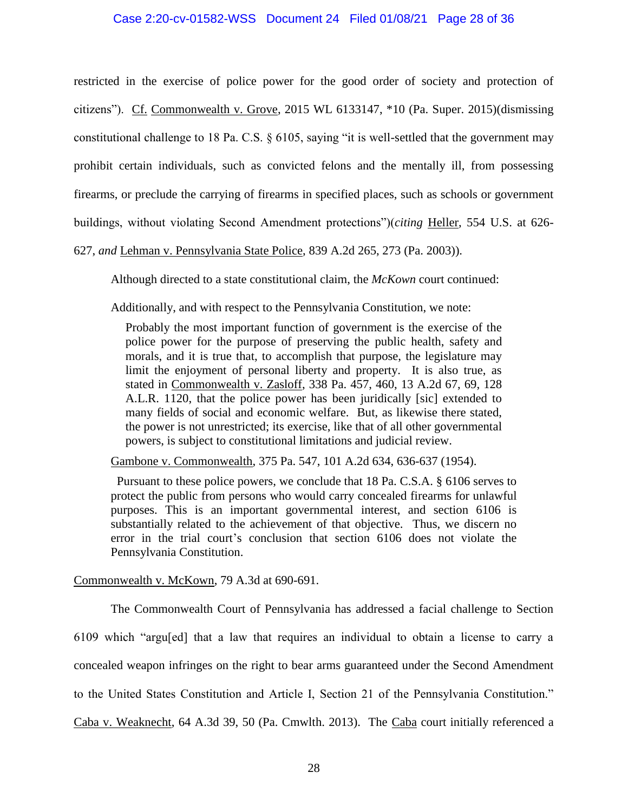#### Case 2:20-cv-01582-WSS Document 24 Filed 01/08/21 Page 28 of 36

restricted in the exercise of police power for the good order of society and protection of citizens"). Cf. Commonwealth v. Grove, 2015 WL 6133147, \*10 (Pa. Super. 2015)(dismissing constitutional challenge to 18 Pa. C.S. § 6105, saying "it is well-settled that the government may prohibit certain individuals, such as convicted felons and the mentally ill, from possessing firearms, or preclude the carrying of firearms in specified places, such as schools or government buildings, without violating Second Amendment protections")(*citing* Heller, 554 U.S. at 626- 627, *and* Lehman v. Pennsylvania State Police, 839 A.2d 265, 273 (Pa. 2003)).

Although directed to a state constitutional claim, the *McKown* court continued:

Additionally, and with respect to the Pennsylvania Constitution, we note:

Probably the most important function of government is the exercise of the police power for the purpose of preserving the public health, safety and morals, and it is true that, to accomplish that purpose, the legislature may limit the enjoyment of personal liberty and property. It is also true, as stated in Commonwealth v. Zasloff, 338 Pa. 457, 460, 13 A.2d 67, 69, 128 A.L.R. 1120, that the police power has been juridically [sic] extended to many fields of social and economic welfare. But, as likewise there stated, the power is not unrestricted; its exercise, like that of all other governmental powers, is subject to constitutional limitations and judicial review.

Gambone v. Commonwealth, 375 Pa. 547, 101 A.2d 634, 636-637 (1954).

 Pursuant to these police powers, we conclude that 18 Pa. C.S.A. § 6106 serves to protect the public from persons who would carry concealed firearms for unlawful purposes. This is an important governmental interest, and section 6106 is substantially related to the achievement of that objective. Thus, we discern no error in the trial court's conclusion that section 6106 does not violate the Pennsylvania Constitution.

#### Commonwealth v. McKown, 79 A.3d at 690-691.

The Commonwealth Court of Pennsylvania has addressed a facial challenge to Section 6109 which "argu[ed] that a law that requires an individual to obtain a license to carry a concealed weapon infringes on the right to bear arms guaranteed under the Second Amendment to the United States Constitution and Article I, Section 21 of the Pennsylvania Constitution." Caba v. Weaknecht, 64 A.3d 39, 50 (Pa. Cmwlth. 2013). The Caba court initially referenced a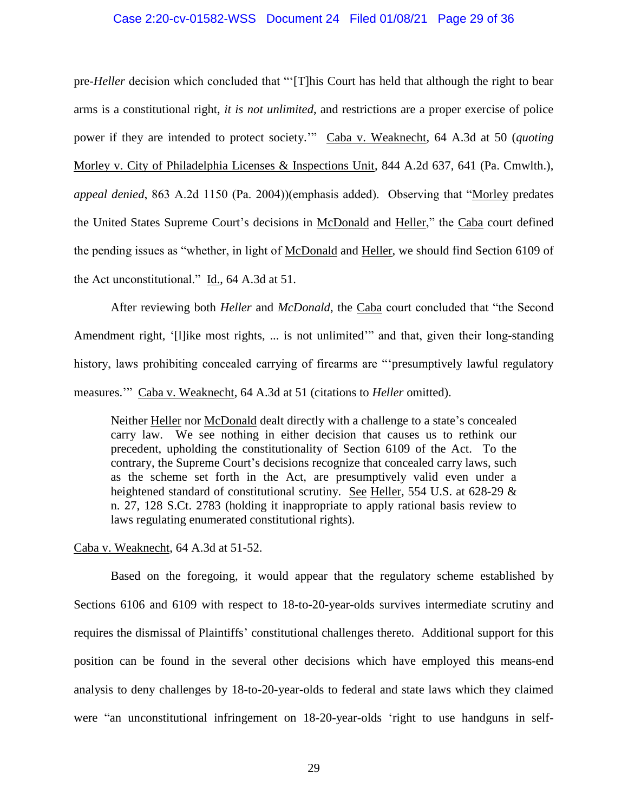#### Case 2:20-cv-01582-WSS Document 24 Filed 01/08/21 Page 29 of 36

pre-*Heller* decision which concluded that "'[T]his Court has held that although the right to bear arms is a constitutional right, *it is not unlimited*, and restrictions are a proper exercise of police power if they are intended to protect society.'" Caba v. Weaknecht, 64 A.3d at 50 (*quoting* Morley v. City of Philadelphia Licenses & Inspections Unit, 844 A.2d 637, 641 (Pa. Cmwlth.), *appeal denied*, 863 A.2d 1150 (Pa. 2004))(emphasis added). Observing that "Morley predates the United States Supreme Court's decisions in McDonald and Heller," the Caba court defined the pending issues as "whether, in light of McDonald and Heller, we should find Section 6109 of the Act unconstitutional." Id., 64 A.3d at 51.

After reviewing both *Heller* and *McDonald*, the Caba court concluded that "the Second Amendment right, '[l]ike most rights, ... is not unlimited'" and that, given their long-standing history, laws prohibiting concealed carrying of firearms are "'presumptively lawful regulatory measures.'" Caba v. Weaknecht, 64 A.3d at 51 (citations to *Heller* omitted).

Neither Heller nor McDonald dealt directly with a challenge to a state's concealed carry law. We see nothing in either decision that causes us to rethink our precedent, upholding the constitutionality of Section 6109 of the Act. To the contrary, the Supreme Court's decisions recognize that concealed carry laws, such as the scheme set forth in the Act, are presumptively valid even under a heightened standard of constitutional scrutiny. See Heller, 554 U.S. at 628-29 & n. 27, 128 S.Ct. 2783 (holding it inappropriate to apply rational basis review to laws regulating enumerated constitutional rights).

#### Caba v. Weaknecht, 64 A.3d at 51-52.

Based on the foregoing, it would appear that the regulatory scheme established by Sections 6106 and 6109 with respect to 18-to-20-year-olds survives intermediate scrutiny and requires the dismissal of Plaintiffs' constitutional challenges thereto. Additional support for this position can be found in the several other decisions which have employed this means-end analysis to deny challenges by 18-to-20-year-olds to federal and state laws which they claimed were "an unconstitutional infringement on 18-20-year-olds 'right to use handguns in self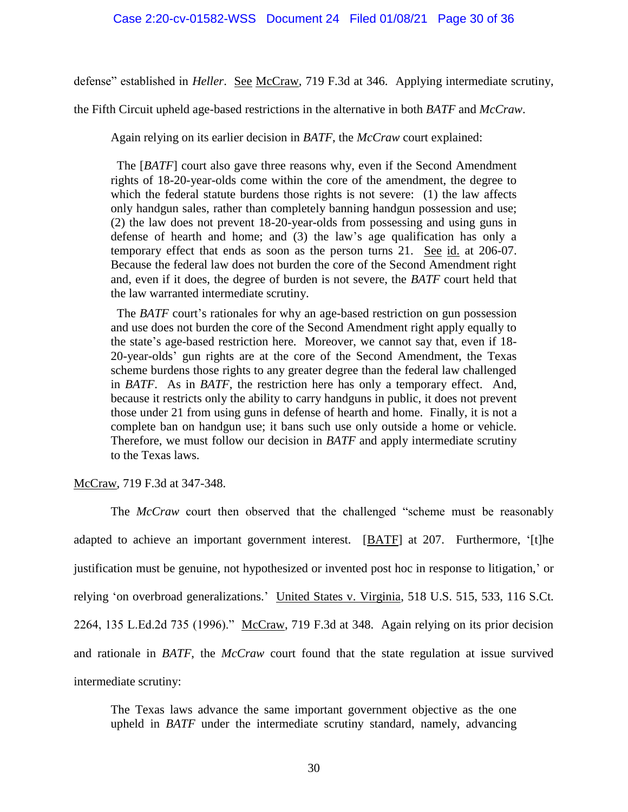defense" established in *Heller*. See McCraw, 719 F.3d at 346. Applying intermediate scrutiny,

the Fifth Circuit upheld age-based restrictions in the alternative in both *BATF* and *McCraw*.

Again relying on its earlier decision in *BATF*, the *McCraw* court explained:

 The [*BATF*] court also gave three reasons why, even if the Second Amendment rights of 18-20-year-olds come within the core of the amendment, the degree to which the federal statute burdens those rights is not severe: (1) the law affects only handgun sales, rather than completely banning handgun possession and use; (2) the law does not prevent 18-20-year-olds from possessing and using guns in defense of hearth and home; and (3) the law's age qualification has only a temporary effect that ends as soon as the person turns 21. See id. at 206-07. Because the federal law does not burden the core of the Second Amendment right and, even if it does, the degree of burden is not severe, the *BATF* court held that the law warranted intermediate scrutiny.

 The *BATF* court's rationales for why an age-based restriction on gun possession and use does not burden the core of the Second Amendment right apply equally to the state's age-based restriction here. Moreover, we cannot say that, even if 18- 20-year-olds' gun rights are at the core of the Second Amendment, the Texas scheme burdens those rights to any greater degree than the federal law challenged in *BATF*. As in *BATF*, the restriction here has only a temporary effect. And, because it restricts only the ability to carry handguns in public, it does not prevent those under 21 from using guns in defense of hearth and home. Finally, it is not a complete ban on handgun use; it bans such use only outside a home or vehicle. Therefore, we must follow our decision in *BATF* and apply intermediate scrutiny to the Texas laws.

McCraw, 719 F.3d at 347-348.

The *McCraw* court then observed that the challenged "scheme must be reasonably adapted to achieve an important government interest. [BATF] at 207. Furthermore, '[t]he justification must be genuine, not hypothesized or invented post hoc in response to litigation,' or relying 'on overbroad generalizations.' United States v. Virginia, 518 U.S. 515, 533, 116 S.Ct. 2264, 135 L.Ed.2d 735 (1996)." McCraw, 719 F.3d at 348. Again relying on its prior decision and rationale in *BATF*, the *McCraw* court found that the state regulation at issue survived intermediate scrutiny:

The Texas laws advance the same important government objective as the one upheld in *BATF* under the intermediate scrutiny standard, namely, advancing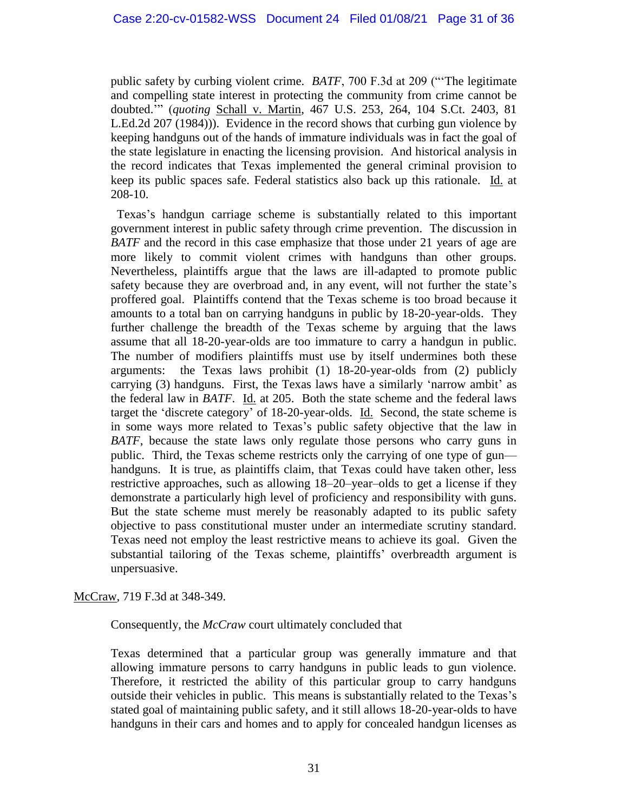public safety by curbing violent crime. *BATF*, 700 F.3d at 209 ("'The legitimate and compelling state interest in protecting the community from crime cannot be doubted.'" (*quoting* Schall v. Martin, 467 U.S. 253, 264, 104 S.Ct. 2403, 81 L.Ed.2d 207 (1984))). Evidence in the record shows that curbing gun violence by keeping handguns out of the hands of immature individuals was in fact the goal of the state legislature in enacting the licensing provision. And historical analysis in the record indicates that Texas implemented the general criminal provision to keep its public spaces safe. Federal statistics also back up this rationale. Id. at 208-10.

 Texas's handgun carriage scheme is substantially related to this important government interest in public safety through crime prevention. The discussion in *BATF* and the record in this case emphasize that those under 21 years of age are more likely to commit violent crimes with handguns than other groups. Nevertheless, plaintiffs argue that the laws are ill-adapted to promote public safety because they are overbroad and, in any event, will not further the state's proffered goal. Plaintiffs contend that the Texas scheme is too broad because it amounts to a total ban on carrying handguns in public by 18-20-year-olds. They further challenge the breadth of the Texas scheme by arguing that the laws assume that all 18-20-year-olds are too immature to carry a handgun in public. The number of modifiers plaintiffs must use by itself undermines both these arguments: the Texas laws prohibit (1) 18-20-year-olds from (2) publicly carrying (3) handguns. First, the Texas laws have a similarly 'narrow ambit' as the federal law in *BATF*. Id. at 205. Both the state scheme and the federal laws target the 'discrete category' of 18-20-year-olds. Id. Second, the state scheme is in some ways more related to Texas's public safety objective that the law in *BATF*, because the state laws only regulate those persons who carry guns in public. Third, the Texas scheme restricts only the carrying of one type of gun handguns. It is true, as plaintiffs claim, that Texas could have taken other, less restrictive approaches, such as allowing 18–20–year–olds to get a license if they demonstrate a particularly high level of proficiency and responsibility with guns. But the state scheme must merely be reasonably adapted to its public safety objective to pass constitutional muster under an intermediate scrutiny standard. Texas need not employ the least restrictive means to achieve its goal. Given the substantial tailoring of the Texas scheme, plaintiffs' overbreadth argument is unpersuasive.

# McCraw, 719 F.3d at 348-349.

Consequently, the *McCraw* court ultimately concluded that

Texas determined that a particular group was generally immature and that allowing immature persons to carry handguns in public leads to gun violence. Therefore, it restricted the ability of this particular group to carry handguns outside their vehicles in public. This means is substantially related to the Texas's stated goal of maintaining public safety, and it still allows 18-20-year-olds to have handguns in their cars and homes and to apply for concealed handgun licenses as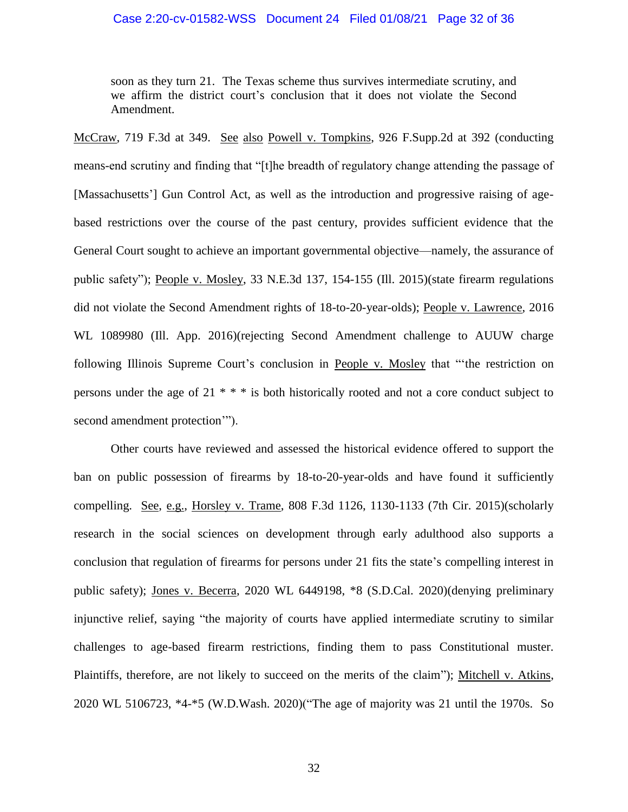#### Case 2:20-cv-01582-WSS Document 24 Filed 01/08/21 Page 32 of 36

soon as they turn 21. The Texas scheme thus survives intermediate scrutiny, and we affirm the district court's conclusion that it does not violate the Second Amendment.

McCraw, 719 F.3d at 349. See also Powell v. Tompkins, 926 F.Supp.2d at 392 (conducting means-end scrutiny and finding that "[t]he breadth of regulatory change attending the passage of [Massachusetts'] Gun Control Act, as well as the introduction and progressive raising of agebased restrictions over the course of the past century, provides sufficient evidence that the General Court sought to achieve an important governmental objective—namely, the assurance of public safety"); People v. Mosley, 33 N.E.3d 137, 154-155 (Ill. 2015)(state firearm regulations did not violate the Second Amendment rights of 18-to-20-year-olds); People v. Lawrence, 2016 WL 1089980 (Ill. App. 2016)(rejecting Second Amendment challenge to AUUW charge following Illinois Supreme Court's conclusion in People v. Mosley that "'the restriction on persons under the age of 21 \* \* \* is both historically rooted and not a core conduct subject to second amendment protection'").

Other courts have reviewed and assessed the historical evidence offered to support the ban on public possession of firearms by 18-to-20-year-olds and have found it sufficiently compelling. See, e.g., Horsley v. Trame, 808 F.3d 1126, 1130-1133 (7th Cir. 2015)(scholarly research in the social sciences on development through early adulthood also supports a conclusion that regulation of firearms for persons under 21 fits the state's compelling interest in public safety); Jones v. Becerra, 2020 WL 6449198, \*8 (S.D.Cal. 2020)(denying preliminary injunctive relief, saying "the majority of courts have applied intermediate scrutiny to similar challenges to age-based firearm restrictions, finding them to pass Constitutional muster. Plaintiffs, therefore, are not likely to succeed on the merits of the claim"); Mitchell v. Atkins, 2020 WL 5106723, \*4-\*5 (W.D.Wash. 2020)("The age of majority was 21 until the 1970s. So

32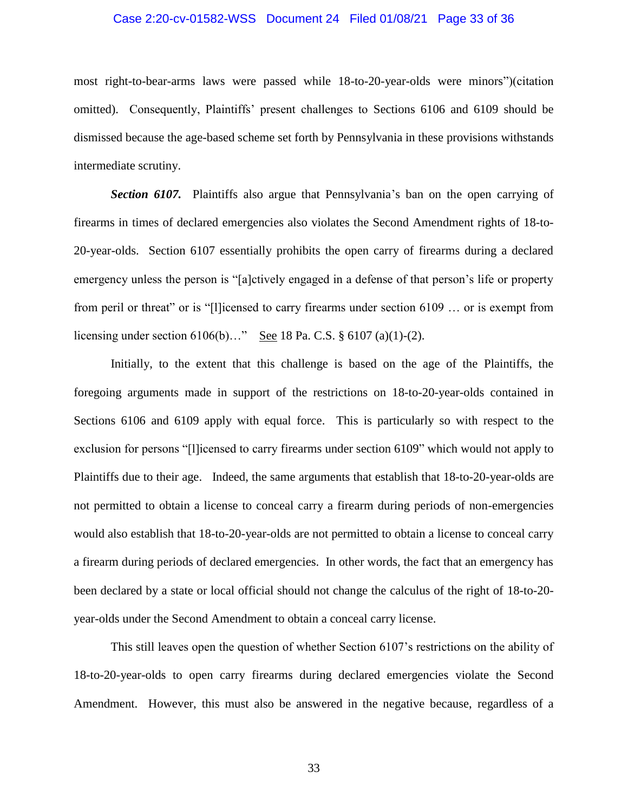#### Case 2:20-cv-01582-WSS Document 24 Filed 01/08/21 Page 33 of 36

most right-to-bear-arms laws were passed while 18-to-20-year-olds were minors")(citation omitted). Consequently, Plaintiffs' present challenges to Sections 6106 and 6109 should be dismissed because the age-based scheme set forth by Pennsylvania in these provisions withstands intermediate scrutiny.

**Section 6107.** Plaintiffs also argue that Pennsylvania's ban on the open carrying of firearms in times of declared emergencies also violates the Second Amendment rights of 18-to-20-year-olds. Section 6107 essentially prohibits the open carry of firearms during a declared emergency unless the person is "[a]ctively engaged in a defense of that person's life or property from peril or threat" or is "[l]icensed to carry firearms under section 6109 … or is exempt from licensing under section  $6106(b)...$  See 18 Pa. C.S. §  $6107(a)(1)-(2)$ .

Initially, to the extent that this challenge is based on the age of the Plaintiffs, the foregoing arguments made in support of the restrictions on 18-to-20-year-olds contained in Sections 6106 and 6109 apply with equal force. This is particularly so with respect to the exclusion for persons "[l]icensed to carry firearms under section 6109" which would not apply to Plaintiffs due to their age. Indeed, the same arguments that establish that 18-to-20-year-olds are not permitted to obtain a license to conceal carry a firearm during periods of non-emergencies would also establish that 18-to-20-year-olds are not permitted to obtain a license to conceal carry a firearm during periods of declared emergencies. In other words, the fact that an emergency has been declared by a state or local official should not change the calculus of the right of 18-to-20 year-olds under the Second Amendment to obtain a conceal carry license.

This still leaves open the question of whether Section 6107's restrictions on the ability of 18-to-20-year-olds to open carry firearms during declared emergencies violate the Second Amendment. However, this must also be answered in the negative because, regardless of a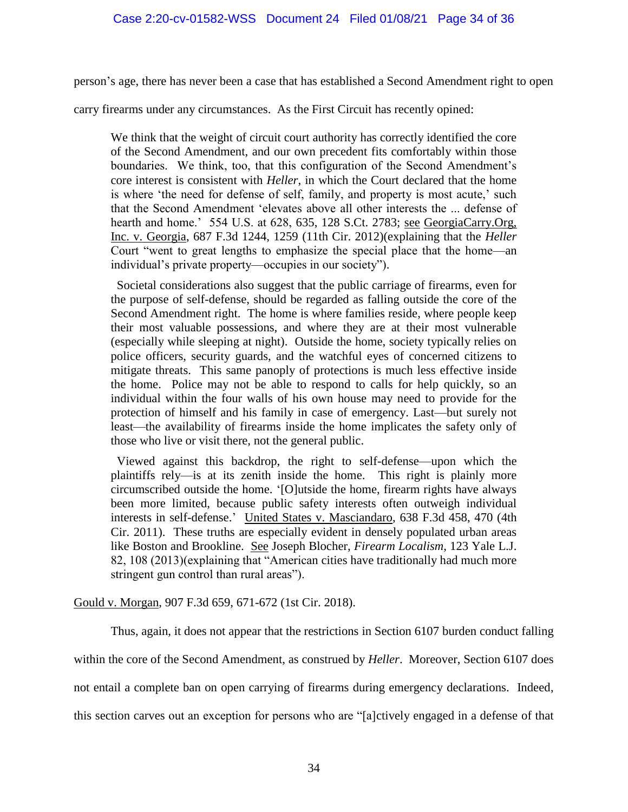person's age, there has never been a case that has established a Second Amendment right to open

carry firearms under any circumstances. As the First Circuit has recently opined:

We think that the weight of circuit court authority has correctly identified the core of the Second Amendment, and our own precedent fits comfortably within those boundaries. We think, too, that this configuration of the Second Amendment's core interest is consistent with *Heller*, in which the Court declared that the home is where 'the need for defense of self, family, and property is most acute,' such that the Second Amendment 'elevates above all other interests the ... defense of hearth and home.' 554 U.S. at 628, 635, 128 S.Ct. 2783; see GeorgiaCarry.Org, Inc. v. Georgia, 687 F.3d 1244, 1259 (11th Cir. 2012)(explaining that the *Heller* Court "went to great lengths to emphasize the special place that the home—an individual's private property—occupies in our society").

 Societal considerations also suggest that the public carriage of firearms, even for the purpose of self-defense, should be regarded as falling outside the core of the Second Amendment right. The home is where families reside, where people keep their most valuable possessions, and where they are at their most vulnerable (especially while sleeping at night). Outside the home, society typically relies on police officers, security guards, and the watchful eyes of concerned citizens to mitigate threats. This same panoply of protections is much less effective inside the home. Police may not be able to respond to calls for help quickly, so an individual within the four walls of his own house may need to provide for the protection of himself and his family in case of emergency. Last—but surely not least—the availability of firearms inside the home implicates the safety only of those who live or visit there, not the general public.

 Viewed against this backdrop, the right to self-defense—upon which the plaintiffs rely—is at its zenith inside the home. This right is plainly more circumscribed outside the home. '[O]utside the home, firearm rights have always been more limited, because public safety interests often outweigh individual interests in self-defense.' United States v. Masciandaro, 638 F.3d 458, 470 (4th Cir. 2011). These truths are especially evident in densely populated urban areas like Boston and Brookline. See Joseph Blocher, *Firearm Localism*, 123 Yale L.J. 82, 108 (2013)(explaining that "American cities have traditionally had much more stringent gun control than rural areas").

Gould v. Morgan, 907 F.3d 659, 671-672 (1st Cir. 2018).

Thus, again, it does not appear that the restrictions in Section 6107 burden conduct falling within the core of the Second Amendment, as construed by *Heller*. Moreover, Section 6107 does not entail a complete ban on open carrying of firearms during emergency declarations. Indeed, this section carves out an exception for persons who are "[a]ctively engaged in a defense of that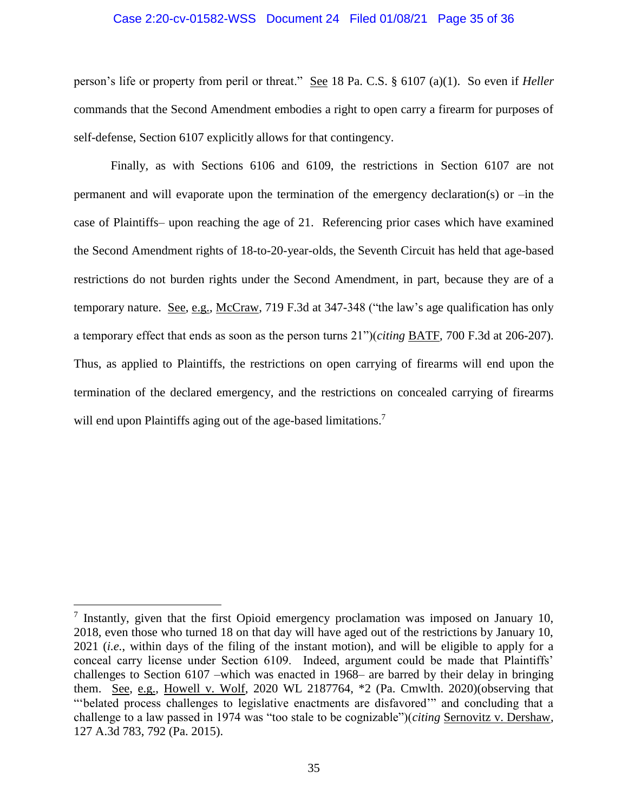#### Case 2:20-cv-01582-WSS Document 24 Filed 01/08/21 Page 35 of 36

person's life or property from peril or threat." See 18 Pa. C.S. § 6107 (a)(1). So even if *Heller* commands that the Second Amendment embodies a right to open carry a firearm for purposes of self-defense, Section 6107 explicitly allows for that contingency.

Finally, as with Sections 6106 and 6109, the restrictions in Section 6107 are not permanent and will evaporate upon the termination of the emergency declaration(s) or –in the case of Plaintiffs– upon reaching the age of 21. Referencing prior cases which have examined the Second Amendment rights of 18-to-20-year-olds, the Seventh Circuit has held that age-based restrictions do not burden rights under the Second Amendment, in part, because they are of a temporary nature. See, e.g., McCraw, 719 F.3d at 347-348 ("the law's age qualification has only a temporary effect that ends as soon as the person turns 21")(*citing* BATF, 700 F.3d at 206-207). Thus, as applied to Plaintiffs, the restrictions on open carrying of firearms will end upon the termination of the declared emergency, and the restrictions on concealed carrying of firearms will end upon Plaintiffs aging out of the age-based limitations.<sup>7</sup>

 $\overline{a}$ 

<sup>&</sup>lt;sup>7</sup> Instantly, given that the first Opioid emergency proclamation was imposed on January 10, 2018, even those who turned 18 on that day will have aged out of the restrictions by January 10, 2021 (*i.e.*, within days of the filing of the instant motion), and will be eligible to apply for a conceal carry license under Section 6109. Indeed, argument could be made that Plaintiffs' challenges to Section 6107 –which was enacted in 1968– are barred by their delay in bringing them. See, e.g., Howell v. Wolf, 2020 WL 2187764, \*2 (Pa. Cmwlth. 2020)(observing that "'belated process challenges to legislative enactments are disfavored'" and concluding that a challenge to a law passed in 1974 was "too stale to be cognizable")(*citing* Sernovitz v. Dershaw, 127 A.3d 783, 792 (Pa. 2015).